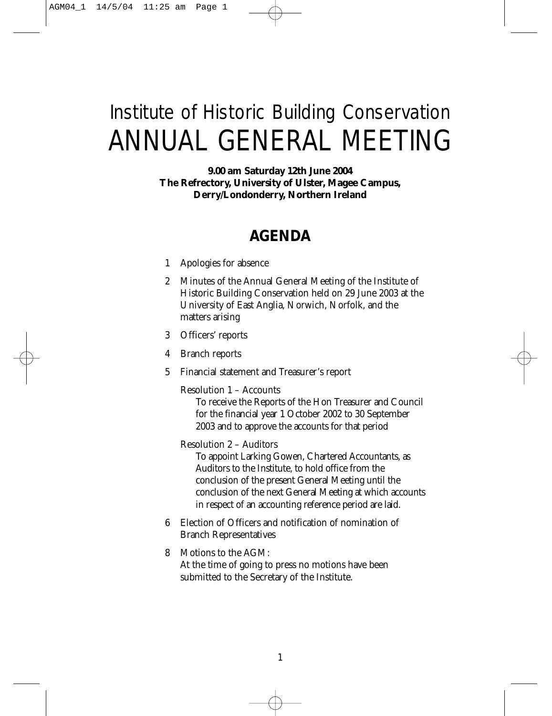# Institute of Historic Building Conservation ANNUAL GENERAL MEETING

**9.00 am Saturday 12th June 2004 The Refrectory, University of Ulster, Magee Campus, Derry/Londonderry, Northern Ireland**

### **AGENDA**

- 1 Apologies for absence
- 2 Minutes of the Annual General Meeting of the Institute of Historic Building Conservation held on 29 June 2003 at the University of East Anglia, Norwich, Norfolk, and the matters arising
- 3 Officers' reports
- 4 Branch reports
- 5 Financial statement and Treasurer's report
	- Resolution 1 Accounts

To receive the Reports of the Hon Treasurer and Council for the financial year 1 October 2002 to 30 September 2003 and to approve the accounts for that period

Resolution 2 – Auditors

To appoint Larking Gowen, Chartered Accountants, as Auditors to the Institute, to hold office from the conclusion of the present General Meeting until the conclusion of the next General Meeting at which accounts in respect of an accounting reference period are laid.

- 6 Election of Officers and notification of nomination of Branch Representatives
- 8 Motions to the AGM: At the time of going to press no motions have been submitted to the Secretary of the Institute.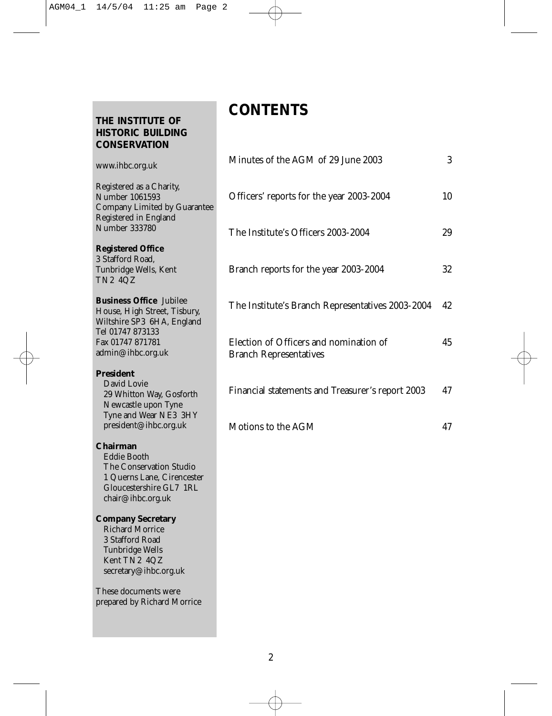AGM04\_1 14/5/04 11:25 am Page 2

**THE INSTITUTE OF HISTORIC BUILDING**

## **CONTENTS**

| <b>CONSERVATION</b>                                                                                                                     |                                                                         |          |
|-----------------------------------------------------------------------------------------------------------------------------------------|-------------------------------------------------------------------------|----------|
| www.ihbc.org.uk                                                                                                                         | Minutes of the AGM of 29 June 2003                                      | 3        |
| Registered as a Charity,<br><b>Number 1061593</b><br>Company Limited by Guarantee<br>Registered in England                              | Officers' reports for the year 2003-2004                                | 10       |
| <b>Number 333780</b>                                                                                                                    | The Institute's Officers 2003-2004                                      | 29       |
| <b>Registered Office</b><br>3 Stafford Road.<br>Tunbridge Wells, Kent<br>TN2 4QZ                                                        | Branch reports for the year 2003-2004                                   | 32       |
| <b>Business Office Jubilee</b><br>House, High Street, Tisbury,<br>Wiltshire SP3 6HA, England                                            | The Institute's Branch Representatives 2003-2004                        | 42       |
| Tel 01747 873133<br>Fax 01747 871781<br>admin@ihbc.org.uk                                                                               | Election of Officers and nomination of<br><b>Branch Representatives</b> | 45       |
| <b>President</b><br>David Lovie<br>29 Whitton Way, Gosforth<br>Newcastle upon Tyne<br>Tyne and Wear NE3 3HY<br>president@ihbc.org.uk    | Financial statements and Treasurer's report 2003<br>Motions to the AGM  | 47<br>47 |
| <b>Chairman</b><br>Eddie Booth<br>The Conservation Studio<br>1 Querns Lane, Cirencester<br>Gloucestershire GL7 1RL<br>chair@ihbc.org.uk |                                                                         |          |
| <b>Company Secretary</b><br><b>Richard Morrice</b><br>3 Stafford Road<br>Tunbridge Wells<br>Kent TN2 4QZ<br>secretary@ihbc.org.uk       |                                                                         |          |

These documents were prepared by Richard Morrice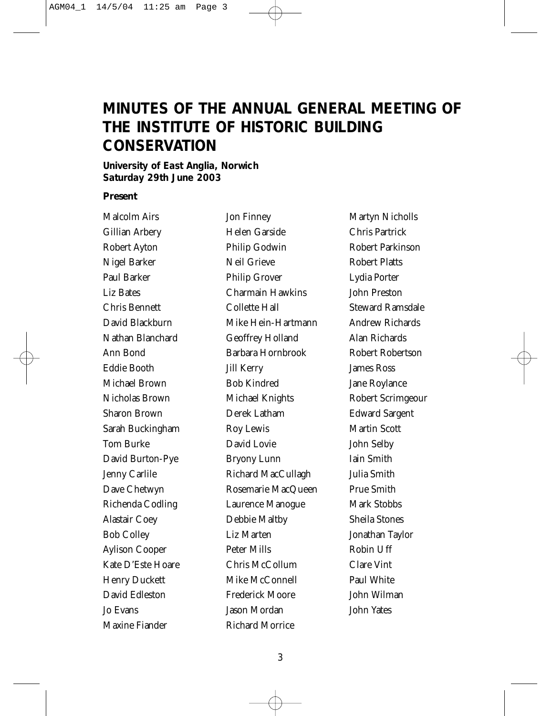### **MINUTES OF THE ANNUAL GENERAL MEETING OF THE INSTITUTE OF HISTORIC BUILDING CONSERVATION**

#### **University of East Anglia, Norwich Saturday 29th June 2003**

#### **Present**

Malcolm Airs Gillian Arbery Robert Ayton Nigel Barker Paul Barker Liz Bates Chris Bennett David Blackburn Nathan Blanchard Ann Bond Eddie Booth Michael Brown Nicholas Brown Sharon Brown Sarah Buckingham Tom Burke David Burton-Pye Jenny Carlile Dave Chetwyn Richenda Codling Alastair Coey Bob Colley Aylison Cooper Kate D'Este Hoare Henry Duckett David Edleston Jo Evans Maxine Fiander

Jon Finney Helen Garside Philip Godwin Neil Grieve Philip Grover Charmain Hawkins Collette Hall Mike Hein-Hartmann Geoffrey Holland Barbara Hornbrook Jill Kerry Bob Kindred Michael Knights Derek Latham Roy Lewis David Lovie Bryony Lunn Richard MacCullagh Rosemarie MacQueen Laurence Manogue Debbie Maltby Liz Marten Peter Mills Chris McCollum Mike McConnell Frederick Moore Jason Mordan Richard Morrice

Martyn Nicholls Chris Partrick Robert Parkinson Robert Platts Lydia Porter John Preston Steward Ramsdale Andrew Richards Alan Richards Robert Robertson James Ross Jane Roylance Robert Scrimgeour Edward Sargent Martin Scott John Selby Iain Smith Julia Smith Prue Smith Mark Stobbs Sheila Stones Jonathan Taylor Robin Uff Clare Vint Paul White John Wilman John Yates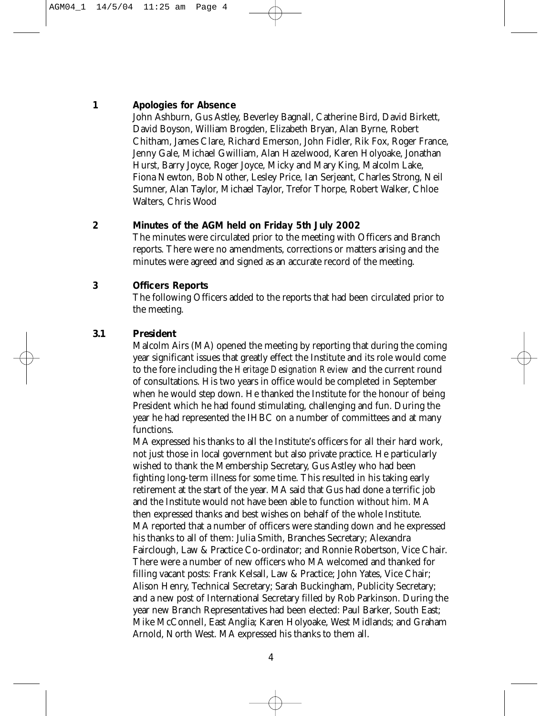AGM04 1 14/5/04 11:25 am Page 4

#### **1 Apologies for Absence**

John Ashburn, Gus Astley, Beverley Bagnall, Catherine Bird, David Birkett, David Boyson, William Brogden, Elizabeth Bryan, Alan Byrne, Robert Chitham, James Clare, Richard Emerson, John Fidler, Rik Fox, Roger France, Jenny Gale, Michael Gwilliam, Alan Hazelwood, Karen Holyoake, Jonathan Hurst, Barry Joyce, Roger Joyce, Micky and Mary King, Malcolm Lake, Fiona Newton, Bob Nother, Lesley Price, Ian Serjeant, Charles Strong, Neil Sumner, Alan Taylor, Michael Taylor, Trefor Thorpe, Robert Walker, Chloe Walters, Chris Wood

#### **2 Minutes of the AGM held on Friday 5th July 2002**

The minutes were circulated prior to the meeting with Officers and Branch reports. There were no amendments, corrections or matters arising and the minutes were agreed and signed as an accurate record of the meeting.

#### **3 Officers Reports**

The following Officers added to the reports that had been circulated prior to the meeting.

#### **3.1 President**

Malcolm Airs (MA) opened the meeting by reporting that during the coming year significant issues that greatly effect the Institute and its role would come to the fore including the *Heritage Designation Review* and the current round of consultations. His two years in office would be completed in September when he would step down. He thanked the Institute for the honour of being President which he had found stimulating, challenging and fun. During the year he had represented the IHBC on a number of committees and at many functions.

MA expressed his thanks to all the Institute's officers for all their hard work, not just those in local government but also private practice. He particularly wished to thank the Membership Secretary, Gus Astley who had been fighting long-term illness for some time. This resulted in his taking early retirement at the start of the year. MA said that Gus had done a terrific job and the Institute would not have been able to function without him. MA then expressed thanks and best wishes on behalf of the whole Institute. MA reported that a number of officers were standing down and he expressed his thanks to all of them: Julia Smith, Branches Secretary; Alexandra Fairclough, Law & Practice Co-ordinator; and Ronnie Robertson, Vice Chair. There were a number of new officers who MA welcomed and thanked for filling vacant posts: Frank Kelsall, Law & Practice; John Yates, Vice Chair; Alison Henry, Technical Secretary; Sarah Buckingham, Publicity Secretary; and a new post of International Secretary filled by Rob Parkinson. During the year new Branch Representatives had been elected: Paul Barker, South East; Mike McConnell, East Anglia; Karen Holyoake, West Midlands; and Graham Arnold, North West. MA expressed his thanks to them all.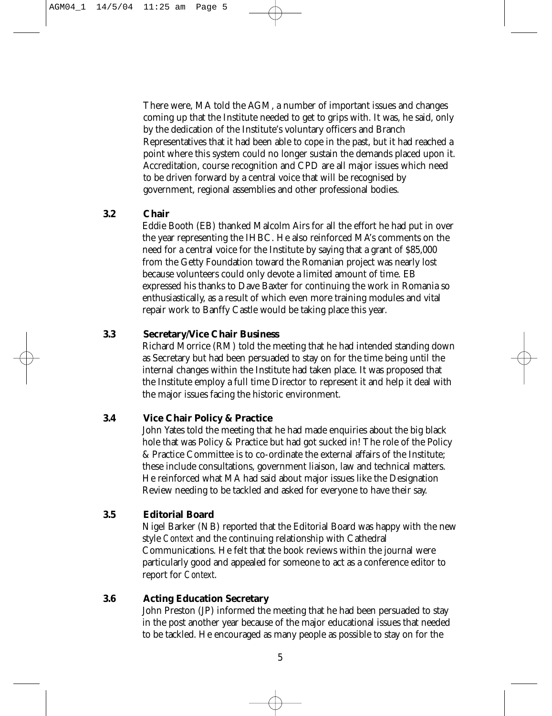There were, MA told the AGM, a number of important issues and changes coming up that the Institute needed to get to grips with. It was, he said, only by the dedication of the Institute's voluntary officers and Branch Representatives that it had been able to cope in the past, but it had reached a point where this system could no longer sustain the demands placed upon it. Accreditation, course recognition and CPD are all major issues which need to be driven forward by a central voice that will be recognised by government, regional assemblies and other professional bodies.

#### **3.2 Chair**

Eddie Booth (EB) thanked Malcolm Airs for all the effort he had put in over the year representing the IHBC. He also reinforced MA's comments on the need for a central voice for the Institute by saying that a grant of \$85,000 from the Getty Foundation toward the Romanian project was nearly lost because volunteers could only devote a limited amount of time. EB expressed his thanks to Dave Baxter for continuing the work in Romania so enthusiastically, as a result of which even more training modules and vital repair work to Banffy Castle would be taking place this year.

#### **3.3 Secretary/Vice Chair Business**

Richard Morrice (RM) told the meeting that he had intended standing down as Secretary but had been persuaded to stay on for the time being until the internal changes within the Institute had taken place. It was proposed that the Institute employ a full time Director to represent it and help it deal with the major issues facing the historic environment.

#### **3.4 Vice Chair Policy & Practice**

John Yates told the meeting that he had made enquiries about the big black hole that was Policy & Practice but had got sucked in! The role of the Policy & Practice Committee is to co-ordinate the external affairs of the Institute; these include consultations, government liaison, law and technical matters. He reinforced what MA had said about major issues like the Designation Review needing to be tackled and asked for everyone to have their say.

#### **3.5 Editorial Board**

Nigel Barker (NB) reported that the Editorial Board was happy with the new style *Context* and the continuing relationship with Cathedral Communications. He felt that the book reviews within the journal were particularly good and appealed for someone to act as a conference editor to report for *Context*.

#### **3.6 Acting Education Secretary**

John Preston (JP) informed the meeting that he had been persuaded to stay in the post another year because of the major educational issues that needed to be tackled. He encouraged as many people as possible to stay on for the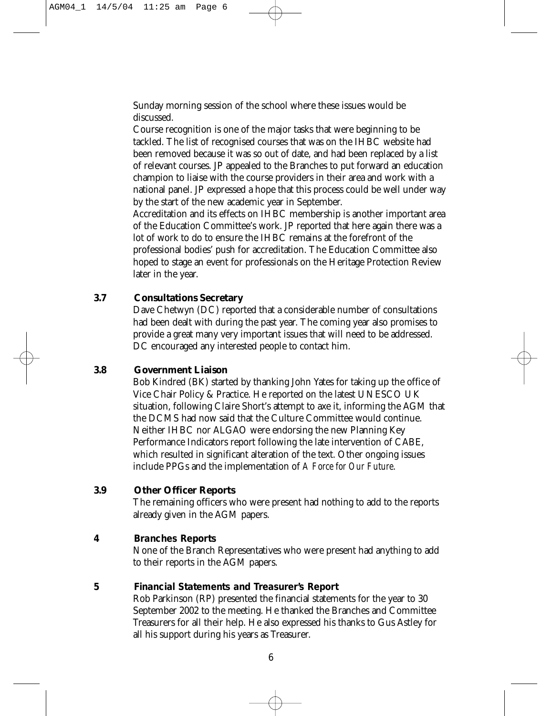Sunday morning session of the school where these issues would be discussed.

Course recognition is one of the major tasks that were beginning to be tackled. The list of recognised courses that was on the IHBC website had been removed because it was so out of date, and had been replaced by a list of relevant courses. JP appealed to the Branches to put forward an education champion to liaise with the course providers in their area and work with a national panel. JP expressed a hope that this process could be well under way by the start of the new academic year in September.

Accreditation and its effects on IHBC membership is another important area of the Education Committee's work. JP reported that here again there was a lot of work to do to ensure the IHBC remains at the forefront of the professional bodies' push for accreditation. The Education Committee also hoped to stage an event for professionals on the Heritage Protection Review later in the year.

#### **3.7 Consultations Secretary**

Dave Chetwyn (DC) reported that a considerable number of consultations had been dealt with during the past year. The coming year also promises to provide a great many very important issues that will need to be addressed. DC encouraged any interested people to contact him.

#### **3.8 Government Liaison**

Bob Kindred (BK) started by thanking John Yates for taking up the office of Vice Chair Policy & Practice. He reported on the latest UNESCO UK situation, following Claire Short's attempt to axe it, informing the AGM that the DCMS had now said that the Culture Committee would continue. Neither IHBC nor ALGAO were endorsing the new Planning Key Performance Indicators report following the late intervention of CABE, which resulted in significant alteration of the text. Other ongoing issues include PPGs and the implementation of *A Force for Our Future*.

#### **3.9 Other Officer Reports**

The remaining officers who were present had nothing to add to the reports already given in the AGM papers.

#### **4 Branches Reports**

None of the Branch Representatives who were present had anything to add to their reports in the AGM papers.

#### **5 Financial Statements and Treasurer's Report**

Rob Parkinson (RP) presented the financial statements for the year to 30 September 2002 to the meeting. He thanked the Branches and Committee Treasurers for all their help. He also expressed his thanks to Gus Astley for all his support during his years as Treasurer.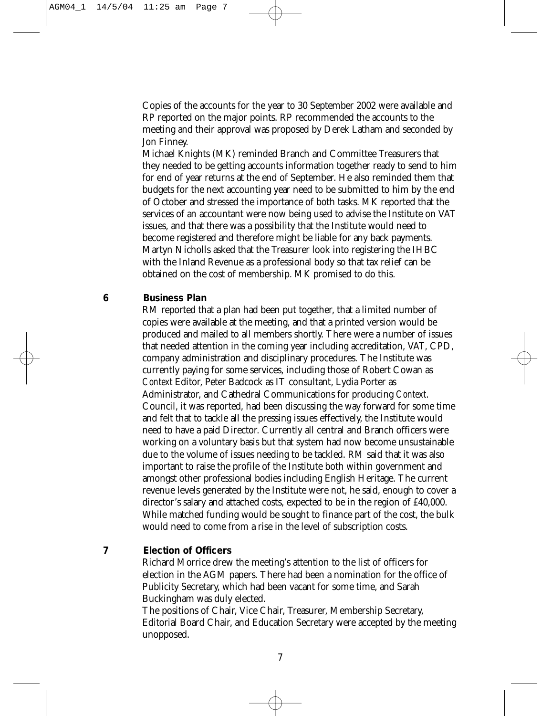Copies of the accounts for the year to 30 September 2002 were available and RP reported on the major points. RP recommended the accounts to the meeting and their approval was proposed by Derek Latham and seconded by Jon Finney.

Michael Knights (MK) reminded Branch and Committee Treasurers that they needed to be getting accounts information together ready to send to him for end of year returns at the end of September. He also reminded them that budgets for the next accounting year need to be submitted to him by the end of October and stressed the importance of both tasks. MK reported that the services of an accountant were now being used to advise the Institute on VAT issues, and that there was a possibility that the Institute would need to become registered and therefore might be liable for any back payments. Martyn Nicholls asked that the Treasurer look into registering the IHBC with the Inland Revenue as a professional body so that tax relief can be obtained on the cost of membership. MK promised to do this.

#### **6 Business Plan**

RM reported that a plan had been put together, that a limited number of copies were available at the meeting, and that a printed version would be produced and mailed to all members shortly. There were a number of issues that needed attention in the coming year including accreditation, VAT, CPD, company administration and disciplinary procedures. The Institute was currently paying for some services, including those of Robert Cowan as *Context* Editor, Peter Badcock as IT consultant, Lydia Porter as Administrator, and Cathedral Communications for producing *Context*. Council, it was reported, had been discussing the way forward for some time and felt that to tackle all the pressing issues effectively, the Institute would need to have a paid Director. Currently all central and Branch officers were working on a voluntary basis but that system had now become unsustainable due to the volume of issues needing to be tackled. RM said that it was also important to raise the profile of the Institute both within government and amongst other professional bodies including English Heritage. The current revenue levels generated by the Institute were not, he said, enough to cover a director's salary and attached costs, expected to be in the region of £40,000. While matched funding would be sought to finance part of the cost, the bulk would need to come from a rise in the level of subscription costs.

#### **7 Election of Officers**

Richard Morrice drew the meeting's attention to the list of officers for election in the AGM papers. There had been a nomination for the office of Publicity Secretary, which had been vacant for some time, and Sarah Buckingham was duly elected.

The positions of Chair, Vice Chair, Treasurer, Membership Secretary, Editorial Board Chair, and Education Secretary were accepted by the meeting unopposed.

7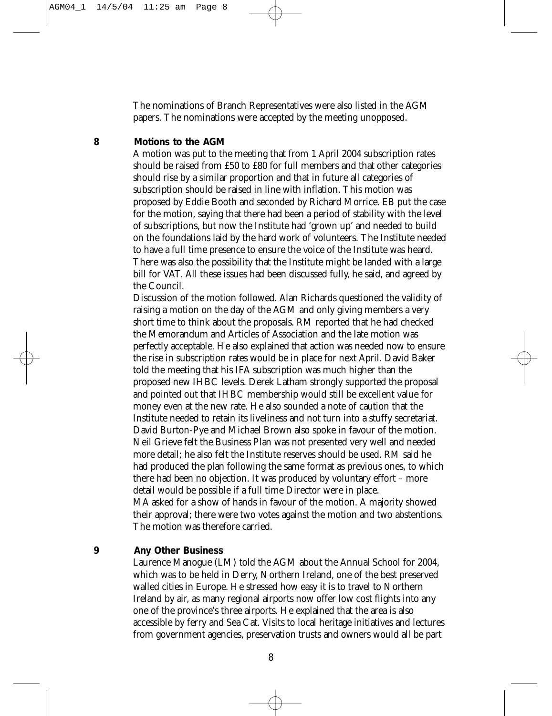The nominations of Branch Representatives were also listed in the AGM papers. The nominations were accepted by the meeting unopposed.

#### **8 Motions to the AGM**

A motion was put to the meeting that from 1 April 2004 subscription rates should be raised from £50 to £80 for full members and that other categories should rise by a similar proportion and that in future all categories of subscription should be raised in line with inflation. This motion was proposed by Eddie Booth and seconded by Richard Morrice. EB put the case for the motion, saying that there had been a period of stability with the level of subscriptions, but now the Institute had 'grown up' and needed to build on the foundations laid by the hard work of volunteers. The Institute needed to have a full time presence to ensure the voice of the Institute was heard. There was also the possibility that the Institute might be landed with a large bill for VAT. All these issues had been discussed fully, he said, and agreed by the Council.

Discussion of the motion followed. Alan Richards questioned the validity of raising a motion on the day of the AGM and only giving members a very short time to think about the proposals. RM reported that he had checked the Memorandum and Articles of Association and the late motion was perfectly acceptable. He also explained that action was needed now to ensure the rise in subscription rates would be in place for next April. David Baker told the meeting that his IFA subscription was much higher than the proposed new IHBC levels. Derek Latham strongly supported the proposal and pointed out that IHBC membership would still be excellent value for money even at the new rate. He also sounded a note of caution that the Institute needed to retain its liveliness and not turn into a stuffy secretariat. David Burton-Pye and Michael Brown also spoke in favour of the motion. Neil Grieve felt the Business Plan was not presented very well and needed more detail; he also felt the Institute reserves should be used. RM said he had produced the plan following the same format as previous ones, to which there had been no objection. It was produced by voluntary effort – more detail would be possible if a full time Director were in place. MA asked for a show of hands in favour of the motion. A majority showed their approval; there were two votes against the motion and two abstentions. The motion was therefore carried.

#### **9 Any Other Business**

Laurence Manogue (LM) told the AGM about the Annual School for 2004, which was to be held in Derry, Northern Ireland, one of the best preserved walled cities in Europe. He stressed how easy it is to travel to Northern Ireland by air, as many regional airports now offer low cost flights into any one of the province's three airports. He explained that the area is also accessible by ferry and Sea Cat. Visits to local heritage initiatives and lectures from government agencies, preservation trusts and owners would all be part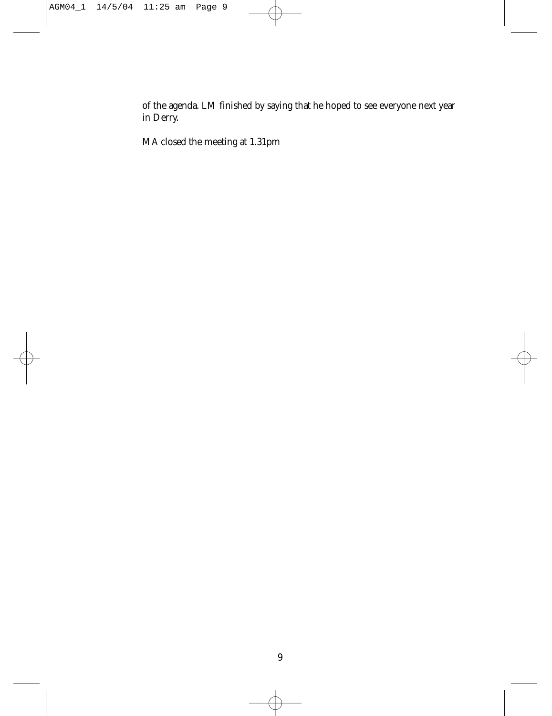of the agenda. LM finished by saying that he hoped to see everyone next year in Derry.

MA closed the meeting at 1.31pm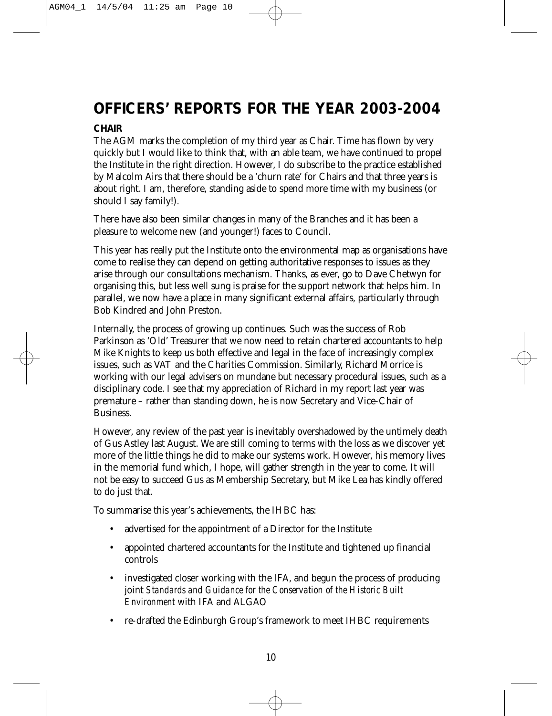### **OFFICERS' REPORTS FOR THE YEAR 2003-2004 CHAIR**

The AGM marks the completion of my third year as Chair. Time has flown by very quickly but I would like to think that, with an able team, we have continued to propel the Institute in the right direction. However, I do subscribe to the practice established by Malcolm Airs that there should be a 'churn rate' for Chairs and that three years is about right. I am, therefore, standing aside to spend more time with my business (or should I say family!).

There have also been similar changes in many of the Branches and it has been a pleasure to welcome new (and younger!) faces to Council.

This year has really put the Institute onto the environmental map as organisations have come to realise they can depend on getting authoritative responses to issues as they arise through our consultations mechanism. Thanks, as ever, go to Dave Chetwyn for organising this, but less well sung is praise for the support network that helps him. In parallel, we now have a place in many significant external affairs, particularly through Bob Kindred and John Preston.

Internally, the process of growing up continues. Such was the success of Rob Parkinson as 'Old' Treasurer that we now need to retain chartered accountants to help Mike Knights to keep us both effective and legal in the face of increasingly complex issues, such as VAT and the Charities Commission. Similarly, Richard Morrice is working with our legal advisers on mundane but necessary procedural issues, such as a disciplinary code. I see that my appreciation of Richard in my report last year was premature – rather than standing down, he is now Secretary and Vice-Chair of Business.

However, any review of the past year is inevitably overshadowed by the untimely death of Gus Astley last August. We are still coming to terms with the loss as we discover yet more of the little things he did to make our systems work. However, his memory lives in the memorial fund which, I hope, will gather strength in the year to come. It will not be easy to succeed Gus as Membership Secretary, but Mike Lea has kindly offered to do just that.

To summarise this year's achievements, the IHBC has:

- advertised for the appointment of a Director for the Institute
- appointed chartered accountants for the Institute and tightened up financial controls
- investigated closer working with the IFA, and begun the process of producing joint *Standards and Guidance for the Conservation of the Historic Built Environment* with IFA and ALGAO
- re-drafted the Edinburgh Group's framework to meet IHBC requirements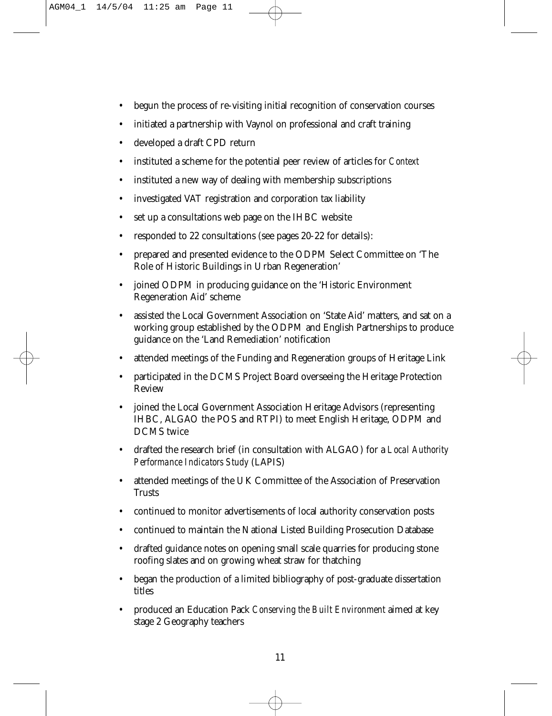- begun the process of re-visiting initial recognition of conservation courses
- initiated a partnership with Vaynol on professional and craft training
- developed a draft CPD return
- instituted a scheme for the potential peer review of articles for *Context*
- instituted a new way of dealing with membership subscriptions
- investigated VAT registration and corporation tax liability
- set up a consultations web page on the IHBC website
- responded to 22 consultations (see pages 20-22 for details):
- prepared and presented evidence to the ODPM Select Committee on 'The Role of Historic Buildings in Urban Regeneration'
- joined ODPM in producing guidance on the 'Historic Environment Regeneration Aid' scheme
- assisted the Local Government Association on 'State Aid' matters, and sat on a working group established by the ODPM and English Partnerships to produce guidance on the 'Land Remediation' notification
- attended meetings of the Funding and Regeneration groups of Heritage Link
- participated in the DCMS Project Board overseeing the Heritage Protection Review
- joined the Local Government Association Heritage Advisors (representing IHBC, ALGAO the POS and RTPI) to meet English Heritage, ODPM and DCMS twice
- drafted the research brief (in consultation with ALGAO) for a *Local Authority Performance Indicators Study* (LAPIS)
- attended meetings of the UK Committee of the Association of Preservation Trusts
- continued to monitor advertisements of local authority conservation posts
- continued to maintain the National Listed Building Prosecution Database
- drafted guidance notes on opening small scale quarries for producing stone roofing slates and on growing wheat straw for thatching
- began the production of a limited bibliography of post-graduate dissertation titles
- produced an Education Pack *Conserving the Built Environment* aimed at key stage 2 Geography teachers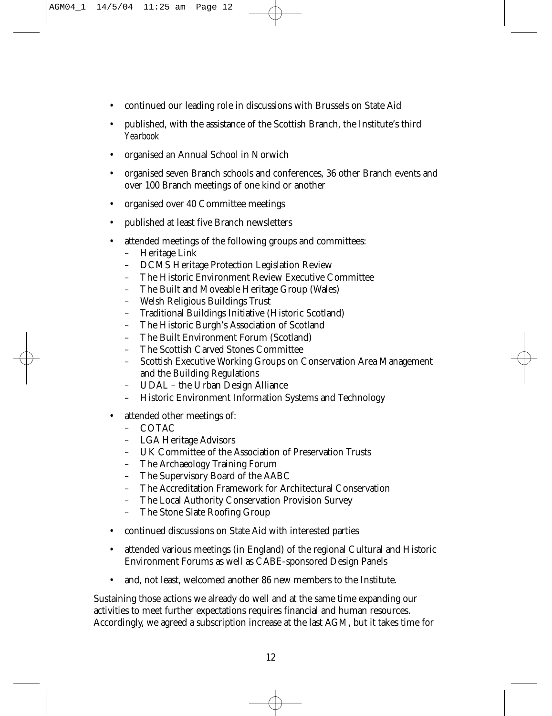- continued our leading role in discussions with Brussels on State Aid
- published, with the assistance of the Scottish Branch, the Institute's third *Yearbook*
- organised an Annual School in Norwich
- organised seven Branch schools and conferences, 36 other Branch events and over 100 Branch meetings of one kind or another
- organised over 40 Committee meetings
- published at least five Branch newsletters
- attended meetings of the following groups and committees:
	- Heritage Link
	- DCMS Heritage Protection Legislation Review
	- The Historic Environment Review Executive Committee
	- The Built and Moveable Heritage Group (Wales)
	- Welsh Religious Buildings Trust
	- Traditional Buildings Initiative (Historic Scotland)
	- The Historic Burgh's Association of Scotland
	- The Built Environment Forum (Scotland)
	- The Scottish Carved Stones Committee
	- Scottish Executive Working Groups on Conservation Area Management and the Building Regulations
	- UDAL the Urban Design Alliance
	- Historic Environment Information Systems and Technology
- attended other meetings of:
	- COTAC
	- LGA Heritage Advisors
	- UK Committee of the Association of Preservation Trusts
	- The Archaeology Training Forum
	- The Supervisory Board of the AABC
	- The Accreditation Framework for Architectural Conservation
	- The Local Authority Conservation Provision Survey
	- The Stone Slate Roofing Group
- continued discussions on State Aid with interested parties
- attended various meetings (in England) of the regional Cultural and Historic Environment Forums as well as CABE-sponsored Design Panels
- and, not least, welcomed another 86 new members to the Institute.

Sustaining those actions we already do well and at the same time expanding our activities to meet further expectations requires financial and human resources. Accordingly, we agreed a subscription increase at the last AGM, but it takes time for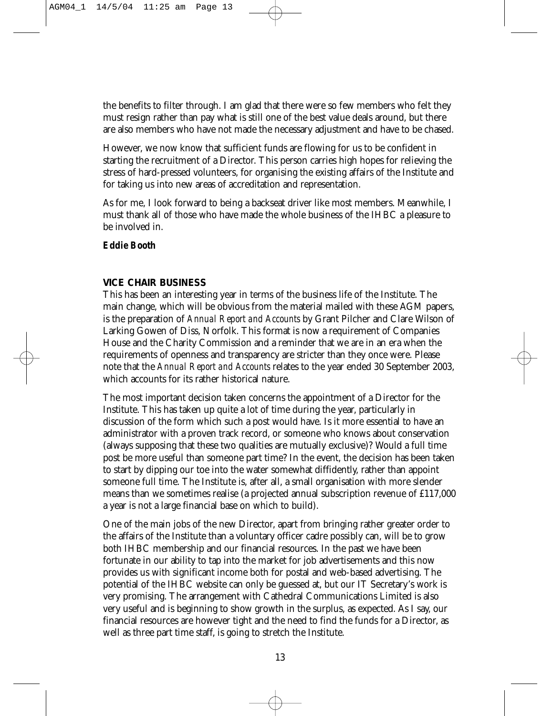the benefits to filter through. I am glad that there were so few members who felt they must resign rather than pay what is still one of the best value deals around, but there are also members who have not made the necessary adjustment and have to be chased.

However, we now know that sufficient funds are flowing for us to be confident in starting the recruitment of a Director. This person carries high hopes for relieving the stress of hard-pressed volunteers, for organising the existing affairs of the Institute and for taking us into new areas of accreditation and representation.

As for me, I look forward to being a backseat driver like most members. Meanwhile, I must thank all of those who have made the whole business of the IHBC a pleasure to be involved in.

*Eddie Booth*

#### **VICE CHAIR BUSINESS**

This has been an interesting year in terms of the business life of the Institute. The main change, which will be obvious from the material mailed with these AGM papers, is the preparation of *Annual Report and Accounts* by Grant Pilcher and Clare Wilson of Larking Gowen of Diss, Norfolk. This format is now a requirement of Companies House and the Charity Commission and a reminder that we are in an era when the requirements of openness and transparency are stricter than they once were. Please note that the *Annual Report and Accounts* relates to the year ended 30 September 2003, which accounts for its rather historical nature.

The most important decision taken concerns the appointment of a Director for the Institute. This has taken up quite a lot of time during the year, particularly in discussion of the form which such a post would have. Is it more essential to have an administrator with a proven track record, or someone who knows about conservation (always supposing that these two qualities are mutually exclusive)? Would a full time post be more useful than someone part time? In the event, the decision has been taken to start by dipping our toe into the water somewhat diffidently, rather than appoint someone full time. The Institute is, after all, a small organisation with more slender means than we sometimes realise (a projected annual subscription revenue of £117,000 a year is not a large financial base on which to build).

One of the main jobs of the new Director, apart from bringing rather greater order to the affairs of the Institute than a voluntary officer cadre possibly can, will be to grow both IHBC membership and our financial resources. In the past we have been fortunate in our ability to tap into the market for job advertisements and this now provides us with significant income both for postal and web-based advertising. The potential of the IHBC website can only be guessed at, but our IT Secretary's work is very promising. The arrangement with Cathedral Communications Limited is also very useful and is beginning to show growth in the surplus, as expected. As I say, our financial resources are however tight and the need to find the funds for a Director, as well as three part time staff, is going to stretch the Institute.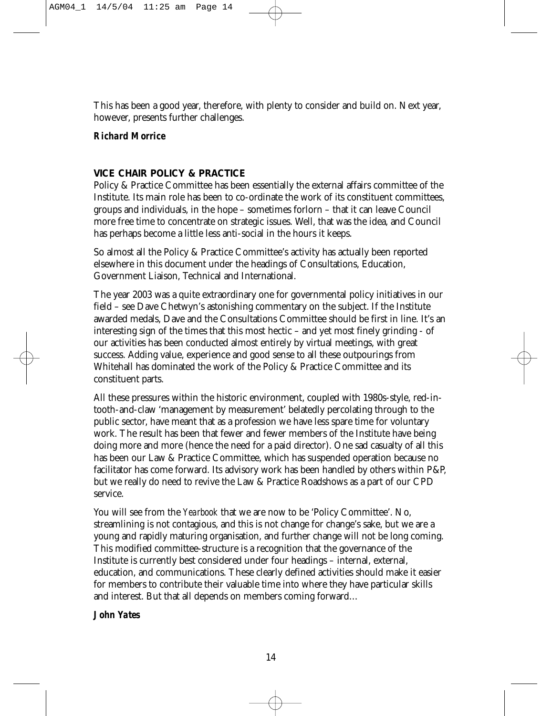This has been a good year, therefore, with plenty to consider and build on. Next year, however, presents further challenges.

*Richard Morrice*

#### **VICE CHAIR POLICY & PRACTICE**

Policy & Practice Committee has been essentially the external affairs committee of the Institute. Its main role has been to co-ordinate the work of its constituent committees, groups and individuals, in the hope – sometimes forlorn – that it can leave Council more free time to concentrate on strategic issues. Well, that was the idea, and Council has perhaps become a little less anti-social in the hours it keeps.

So almost all the Policy & Practice Committee's activity has actually been reported elsewhere in this document under the headings of Consultations, Education, Government Liaison, Technical and International.

The year 2003 was a quite extraordinary one for governmental policy initiatives in our field – see Dave Chetwyn's astonishing commentary on the subject. If the Institute awarded medals, Dave and the Consultations Committee should be first in line. It's an interesting sign of the times that this most hectic – and yet most finely grinding - of our activities has been conducted almost entirely by virtual meetings, with great success. Adding value, experience and good sense to all these outpourings from Whitehall has dominated the work of the Policy & Practice Committee and its constituent parts.

All these pressures within the historic environment, coupled with 1980s-style, red-intooth-and-claw 'management by measurement' belatedly percolating through to the public sector, have meant that as a profession we have less spare time for voluntary work. The result has been that fewer and fewer members of the Institute have being doing more and more (hence the need for a paid director). One sad casualty of all this has been our Law & Practice Committee, which has suspended operation because no facilitator has come forward. Its advisory work has been handled by others within P&P, but we really do need to revive the Law & Practice Roadshows as a part of our CPD service.

You will see from the *Yearbook* that we are now to be 'Policy Committee'. No, streamlining is not contagious, and this is not change for change's sake, but we are a young and rapidly maturing organisation, and further change will not be long coming. This modified committee-structure is a recognition that the governance of the Institute is currently best considered under four headings – internal, external, education, and communications. These clearly defined activities should make it easier for members to contribute their valuable time into where they have particular skills and interest. But that all depends on members coming forward…

*John Yates*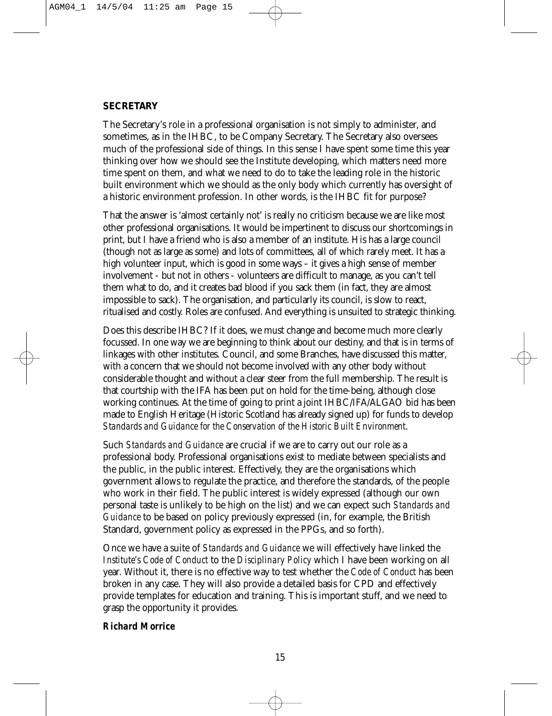#### **SECRETARY**

The Secretary's role in a professional organisation is not simply to administer, and sometimes, as in the IHBC, to be Company Secretary. The Secretary also oversees much of the professional side of things. In this sense I have spent some time this year thinking over how we should see the Institute developing, which matters need more time spent on them, and what we need to do to take the leading role in the historic built environment which we should as the only body which currently has oversight of a historic environment profession. In other words, is the IHBC fit for purpose?

That the answer is 'almost certainly not' is really no criticism because we are like most other professional organisations. It would be impertinent to discuss our shortcomings in print, but I have a friend who is also a member of an institute. His has a large council (though not as large as some) and lots of committees, all of which rarely meet. It has a high volunteer input, which is good in some ways – it gives a high sense of member involvement - but not in others - volunteers are difficult to manage, as you can't tell them what to do, and it creates bad blood if you sack them (in fact, they are almost impossible to sack). The organisation, and particularly its council, is slow to react, ritualised and costly. Roles are confused. And everything is unsuited to strategic thinking.

Does this describe IHBC? If it does, we must change and become much more clearly focussed. In one way we are beginning to think about our destiny, and that is in terms of linkages with other institutes. Council, and some Branches, have discussed this matter, with a concern that we should not become involved with any other body without considerable thought and without a clear steer from the full membership. The result is that courtship with the IFA has been put on hold for the time-being, although close working continues. At the time of going to print a joint IHBC/IFA/ALGAO bid has been made to English Heritage (Historic Scotland has already signed up) for funds to develop *Standards and Guidance for the Conservation of the Historic Built Environment*.

Such *Standards and Guidance* are crucial if we are to carry out our role as a professional body. Professional organisations exist to mediate between specialists and the public, in the public interest. Effectively, they are the organisations which government allows to regulate the practice, and therefore the standards, of the people who work in their field. The public interest is widely expressed (although our own personal taste is unlikely to be high on the list) and we can expect such *Standards and Guidance* to be based on policy previously expressed (in, for example, the British Standard, government policy as expressed in the PPGs, and so forth).

Once we have a suite of *Standards and Guidance* we will effectively have linked the *Institute's Code of Conduct* to the *Disciplinary Policy* which I have been working on all year. Without it, there is no effective way to test whether the *Code of Conduct* has been broken in any case. They will also provide a detailed basis for CPD and effectively provide templates for education and training. This is important stuff, and we need to grasp the opportunity it provides.

*Richard Morrice*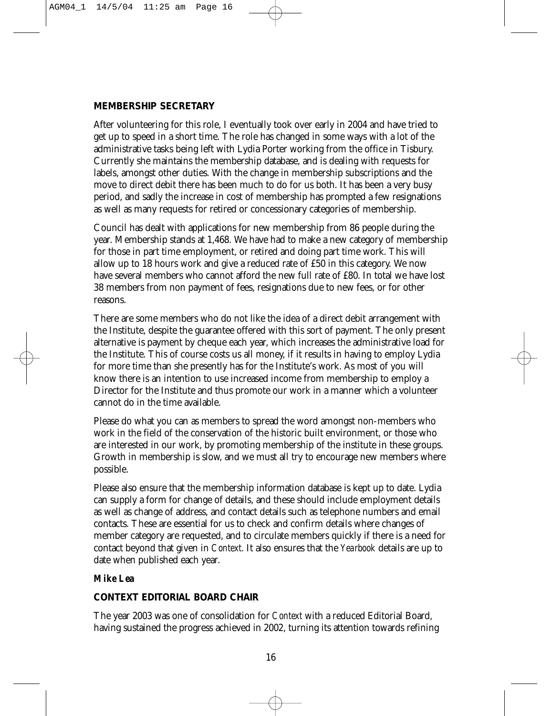#### **MEMBERSHIP SECRETARY**

After volunteering for this role, I eventually took over early in 2004 and have tried to get up to speed in a short time. The role has changed in some ways with a lot of the administrative tasks being left with Lydia Porter working from the office in Tisbury. Currently she maintains the membership database, and is dealing with requests for labels, amongst other duties. With the change in membership subscriptions and the move to direct debit there has been much to do for us both. It has been a very busy period, and sadly the increase in cost of membership has prompted a few resignations as well as many requests for retired or concessionary categories of membership.

Council has dealt with applications for new membership from 86 people during the year. Membership stands at 1,468. We have had to make a new category of membership for those in part time employment, or retired and doing part time work. This will allow up to 18 hours work and give a reduced rate of £50 in this category. We now have several members who cannot afford the new full rate of £80. In total we have lost 38 members from non payment of fees, resignations due to new fees, or for other reasons.

There are some members who do not like the idea of a direct debit arrangement with the Institute, despite the guarantee offered with this sort of payment. The only present alternative is payment by cheque each year, which increases the administrative load for the Institute. This of course costs us all money, if it results in having to employ Lydia for more time than she presently has for the Institute's work. As most of you will know there is an intention to use increased income from membership to employ a Director for the Institute and thus promote our work in a manner which a volunteer cannot do in the time available.

Please do what you can as members to spread the word amongst non-members who work in the field of the conservation of the historic built environment, or those who are interested in our work, by promoting membership of the institute in these groups. Growth in membership is slow, and we must all try to encourage new members where possible.

Please also ensure that the membership information database is kept up to date. Lydia can supply a form for change of details, and these should include employment details as well as change of address, and contact details such as telephone numbers and email contacts. These are essential for us to check and confirm details where changes of member category are requested, and to circulate members quickly if there is a need for contact beyond that given in *Context*. It also ensures that the *Yearbook* details are up to date when published each year.

#### *Mike Lea*

#### **CONTEXT EDITORIAL BOARD CHAIR**

The year 2003 was one of consolidation for *Context* with a reduced Editorial Board, having sustained the progress achieved in 2002, turning its attention towards refining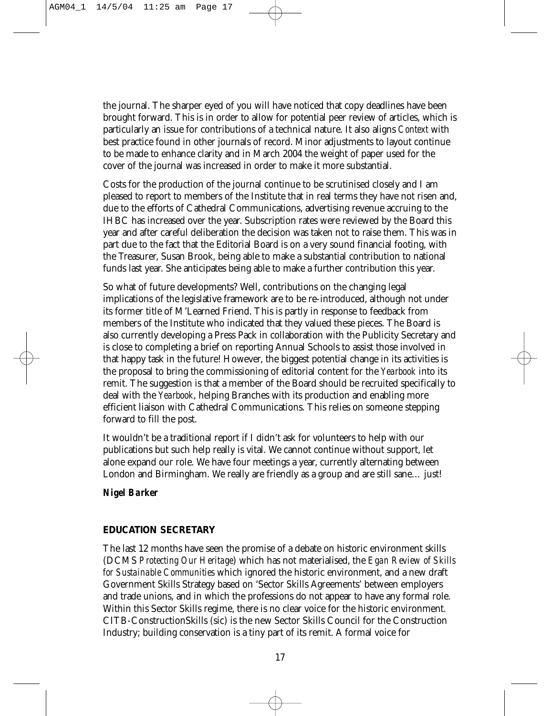the journal. The sharper eyed of you will have noticed that copy deadlines have been brought forward. This is in order to allow for potential peer review of articles, which is particularly an issue for contributions of a technical nature. It also aligns *Context* with best practice found in other journals of record. Minor adjustments to layout continue to be made to enhance clarity and in March 2004 the weight of paper used for the cover of the journal was increased in order to make it more substantial.

Costs for the production of the journal continue to be scrutinised closely and I am pleased to report to members of the Institute that in real terms they have not risen and, due to the efforts of Cathedral Communications, advertising revenue accruing to the IHBC has increased over the year. Subscription rates were reviewed by the Board this year and after careful deliberation the decision was taken not to raise them. This was in part due to the fact that the Editorial Board is on a very sound financial footing, with the Treasurer, Susan Brook, being able to make a substantial contribution to national funds last year. She anticipates being able to make a further contribution this year.

So what of future developments? Well, contributions on the changing legal implications of the legislative framework are to be re-introduced, although not under its former title of M'Learned Friend. This is partly in response to feedback from members of the Institute who indicated that they valued these pieces. The Board is also currently developing a Press Pack in collaboration with the Publicity Secretary and is close to completing a brief on reporting Annual Schools to assist those involved in that happy task in the future! However, the biggest potential change in its activities is the proposal to bring the commissioning of editorial content for the *Yearbook* into its remit. The suggestion is that a member of the Board should be recruited specifically to deal with the *Yearbook*, helping Branches with its production and enabling more efficient liaison with Cathedral Communications. This relies on someone stepping forward to fill the post.

It wouldn't be a traditional report if I didn't ask for volunteers to help with our publications but such help really is vital. We cannot continue without support, let alone expand our role. We have four meetings a year, currently alternating between London and Birmingham. We really are friendly as a group and are still sane… just!

*Nigel Barker*

#### **EDUCATION SECRETARY**

The last 12 months have seen the promise of a debate on historic environment skills (DCMS *Protecting Our Heritage*) which has not materialised, the *Egan Review of Skills for Sustainable Communities* which ignored the historic environment, and a new draft Government Skills Strategy based on 'Sector Skills Agreements' between employers and trade unions, and in which the professions do not appear to have any formal role. Within this Sector Skills regime, there is no clear voice for the historic environment. CITB-ConstructionSkills (sic) is the new Sector Skills Council for the Construction Industry; building conservation is a tiny part of its remit. A formal voice for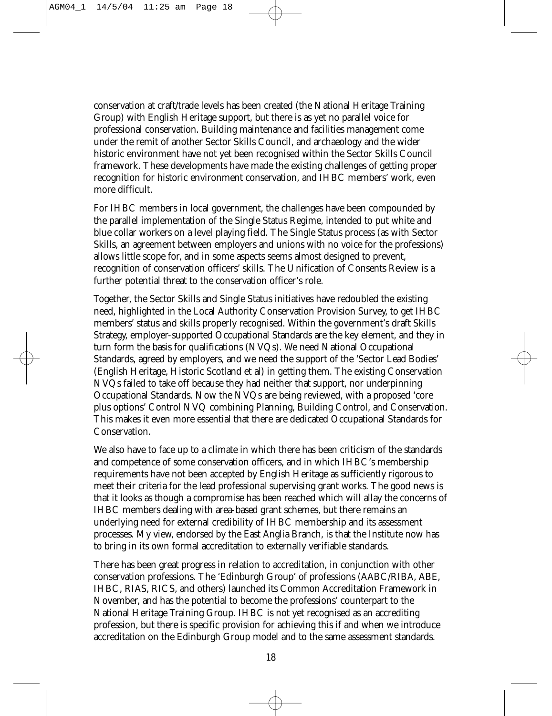conservation at craft/trade levels has been created (the National Heritage Training Group) with English Heritage support, but there is as yet no parallel voice for professional conservation. Building maintenance and facilities management come under the remit of another Sector Skills Council, and archaeology and the wider historic environment have not yet been recognised within the Sector Skills Council framework. These developments have made the existing challenges of getting proper recognition for historic environment conservation, and IHBC members' work, even more difficult.

For IHBC members in local government, the challenges have been compounded by the parallel implementation of the Single Status Regime, intended to put white and blue collar workers on a level playing field. The Single Status process (as with Sector Skills, an agreement between employers and unions with no voice for the professions) allows little scope for, and in some aspects seems almost designed to prevent, recognition of conservation officers' skills. The Unification of Consents Review is a further potential threat to the conservation officer's role.

Together, the Sector Skills and Single Status initiatives have redoubled the existing need, highlighted in the Local Authority Conservation Provision Survey, to get IHBC members' status and skills properly recognised. Within the government's draft Skills Strategy, employer-supported Occupational Standards are the key element, and they in turn form the basis for qualifications (NVQs). We need National Occupational Standards, agreed by employers, and we need the support of the 'Sector Lead Bodies' (English Heritage, Historic Scotland et al) in getting them. The existing Conservation NVQs failed to take off because they had neither that support, nor underpinning Occupational Standards. Now the NVQs are being reviewed, with a proposed 'core plus options' Control NVQ combining Planning, Building Control, and Conservation. This makes it even more essential that there are dedicated Occupational Standards for Conservation.

We also have to face up to a climate in which there has been criticism of the standards and competence of some conservation officers, and in which IHBC's membership requirements have not been accepted by English Heritage as sufficiently rigorous to meet their criteria for the lead professional supervising grant works. The good news is that it looks as though a compromise has been reached which will allay the concerns of IHBC members dealing with area-based grant schemes, but there remains an underlying need for external credibility of IHBC membership and its assessment processes. My view, endorsed by the East Anglia Branch, is that the Institute now has to bring in its own formal accreditation to externally verifiable standards.

There has been great progress in relation to accreditation, in conjunction with other conservation professions. The 'Edinburgh Group' of professions (AABC/RIBA, ABE, IHBC, RIAS, RICS, and others) launched its Common Accreditation Framework in November, and has the potential to become the professions' counterpart to the National Heritage Training Group. IHBC is not yet recognised as an accrediting profession, but there is specific provision for achieving this if and when we introduce accreditation on the Edinburgh Group model and to the same assessment standards.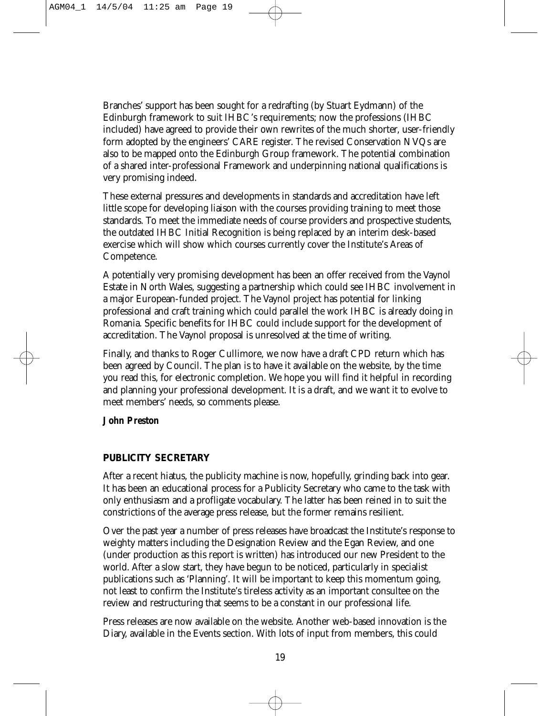Branches' support has been sought for a redrafting (by Stuart Eydmann) of the Edinburgh framework to suit IHBC's requirements; now the professions (IHBC included) have agreed to provide their own rewrites of the much shorter, user-friendly form adopted by the engineers' CARE register. The revised Conservation NVQs are also to be mapped onto the Edinburgh Group framework. The potential combination of a shared inter-professional Framework and underpinning national qualifications is very promising indeed.

These external pressures and developments in standards and accreditation have left little scope for developing liaison with the courses providing training to meet those standards. To meet the immediate needs of course providers and prospective students, the outdated IHBC Initial Recognition is being replaced by an interim desk-based exercise which will show which courses currently cover the Institute's Areas of Competence.

A potentially very promising development has been an offer received from the Vaynol Estate in North Wales, suggesting a partnership which could see IHBC involvement in a major European-funded project. The Vaynol project has potential for linking professional and craft training which could parallel the work IHBC is already doing in Romania. Specific benefits for IHBC could include support for the development of accreditation. The Vaynol proposal is unresolved at the time of writing.

Finally, and thanks to Roger Cullimore, we now have a draft CPD return which has been agreed by Council. The plan is to have it available on the website, by the time you read this, for electronic completion. We hope you will find it helpful in recording and planning your professional development. It is a draft, and we want it to evolve to meet members' needs, so comments please.

*John Preston*

#### **PUBLICITY SECRETARY**

After a recent hiatus, the publicity machine is now, hopefully, grinding back into gear. It has been an educational process for a Publicity Secretary who came to the task with only enthusiasm and a profligate vocabulary. The latter has been reined in to suit the constrictions of the average press release, but the former remains resilient.

Over the past year a number of press releases have broadcast the Institute's response to weighty matters including the Designation Review and the Egan Review, and one (under production as this report is written) has introduced our new President to the world. After a slow start, they have begun to be noticed, particularly in specialist publications such as 'Planning'. It will be important to keep this momentum going, not least to confirm the Institute's tireless activity as an important consultee on the review and restructuring that seems to be a constant in our professional life.

Press releases are now available on the website. Another web-based innovation is the Diary, available in the Events section. With lots of input from members, this could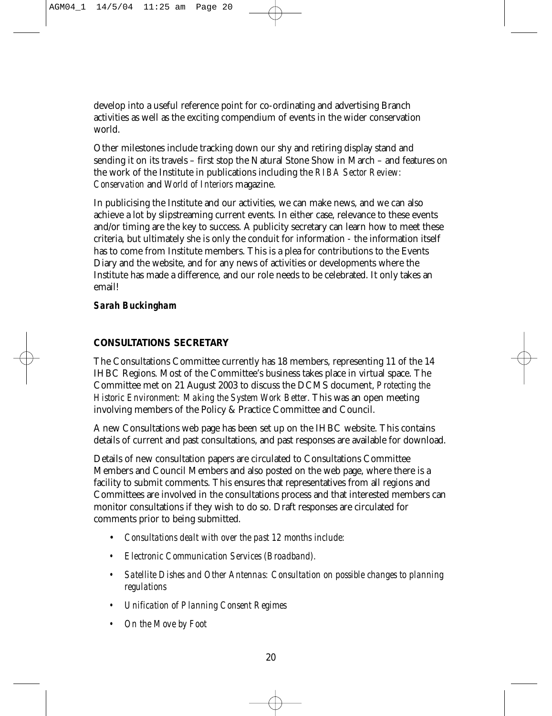develop into a useful reference point for co-ordinating and advertising Branch activities as well as the exciting compendium of events in the wider conservation world.

Other milestones include tracking down our shy and retiring display stand and sending it on its travels – first stop the Natural Stone Show in March – and features on the work of the Institute in publications including the *RIBA Sector Review: Conservation* and *World of Interiors* magazine.

In publicising the Institute and our activities, we can make news, and we can also achieve a lot by slipstreaming current events. In either case, relevance to these events and/or timing are the key to success. A publicity secretary can learn how to meet these criteria, but ultimately she is only the conduit for information - the information itself has to come from Institute members. This is a plea for contributions to the Events Diary and the website, and for any news of activities or developments where the Institute has made a difference, and our role needs to be celebrated. It only takes an email!

*Sarah Buckingham*

#### **CONSULTATIONS SECRETARY**

The Consultations Committee currently has 18 members, representing 11 of the 14 IHBC Regions. Most of the Committee's business takes place in virtual space. The Committee met on 21 August 2003 to discuss the DCMS document, *Protecting the Historic Environment: Making the System Work Better*. This was an open meeting involving members of the Policy & Practice Committee and Council.

A new Consultations web page has been set up on the IHBC website. This contains details of current and past consultations, and past responses are available for download.

Details of new consultation papers are circulated to Consultations Committee Members and Council Members and also posted on the web page, where there is a facility to submit comments. This ensures that representatives from all regions and Committees are involved in the consultations process and that interested members can monitor consultations if they wish to do so. Draft responses are circulated for comments prior to being submitted.

- *Consultations dealt with over the past 12 months include:*
- *Electronic Communication Services (Broadband).*
- *Satellite Dishes and Other Antennas: Consultation on possible changes to planning regulations*
- *Unification of Planning Consent Regimes*
- *On the Move by Foot*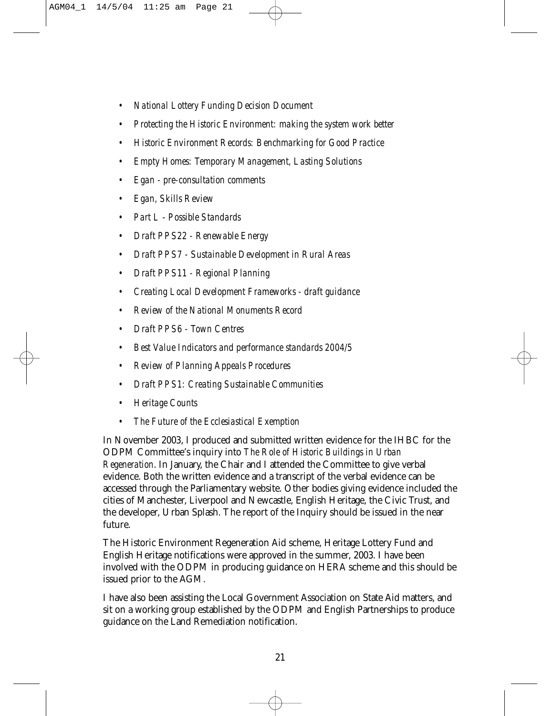- *National Lottery Funding Decision Document*
- *Protecting the Historic Environment: making the system work better*
- *Historic Environment Records: Benchmarking for Good Practice*
- *Empty Homes: Temporary Management, Lasting Solutions*
- *Egan pre-consultation comments*
- *Egan, Skills Review*
- *Part L Possible Standards*
- *Draft PPS22 Renewable Energy*
- *Draft PPS7 Sustainable Development in Rural Areas*
- *Draft PPS11 Regional Planning*
- *Creating Local Development Frameworks draft guidance*
- *Review of the National Monuments Record*
- *Draft PPS6 Town Centres*
- *Best Value Indicators and performance standards 2004/5*
- *Review of Planning Appeals Procedures*
- *Draft PPS1: Creating Sustainable Communities*
- *Heritage Counts*
- *The Future of the Ecclesiastical Exemption*

In November 2003, I produced and submitted written evidence for the IHBC for the ODPM Committee's inquiry into *The Role of Historic Buildings in Urban Regeneration*. In January, the Chair and I attended the Committee to give verbal evidence. Both the written evidence and a transcript of the verbal evidence can be accessed through the Parliamentary website. Other bodies giving evidence included the cities of Manchester, Liverpool and Newcastle, English Heritage, the Civic Trust, and the developer, Urban Splash. The report of the Inquiry should be issued in the near future.

The Historic Environment Regeneration Aid scheme, Heritage Lottery Fund and English Heritage notifications were approved in the summer, 2003. I have been involved with the ODPM in producing guidance on HERA scheme and this should be issued prior to the AGM.

I have also been assisting the Local Government Association on State Aid matters, and sit on a working group established by the ODPM and English Partnerships to produce guidance on the Land Remediation notification.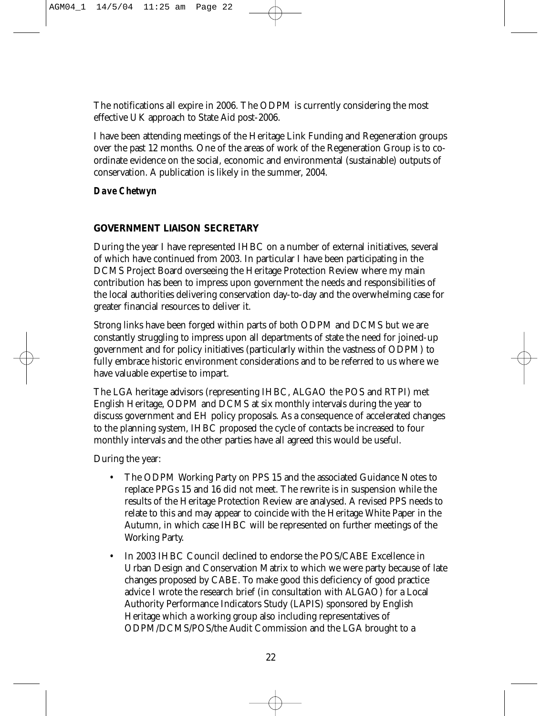The notifications all expire in 2006. The ODPM is currently considering the most effective UK approach to State Aid post-2006.

I have been attending meetings of the Heritage Link Funding and Regeneration groups over the past 12 months. One of the areas of work of the Regeneration Group is to coordinate evidence on the social, economic and environmental (sustainable) outputs of conservation. A publication is likely in the summer, 2004.

*Dave Chetwyn*

#### **GOVERNMENT LIAISON SECRETARY**

During the year I have represented IHBC on a number of external initiatives, several of which have continued from 2003. In particular I have been participating in the DCMS Project Board overseeing the Heritage Protection Review where my main contribution has been to impress upon government the needs and responsibilities of the local authorities delivering conservation day-to-day and the overwhelming case for greater financial resources to deliver it.

Strong links have been forged within parts of both ODPM and DCMS but we are constantly struggling to impress upon all departments of state the need for joined-up government and for policy initiatives (particularly within the vastness of ODPM) to fully embrace historic environment considerations and to be referred to us where we have valuable expertise to impart.

The LGA heritage advisors (representing IHBC, ALGAO the POS and RTPI) met English Heritage, ODPM and DCMS at six monthly intervals during the year to discuss government and EH policy proposals. As a consequence of accelerated changes to the planning system, IHBC proposed the cycle of contacts be increased to four monthly intervals and the other parties have all agreed this would be useful.

During the year:

- The ODPM Working Party on PPS 15 and the associated Guidance Notes to replace PPGs 15 and 16 did not meet. The rewrite is in suspension while the results of the Heritage Protection Review are analysed. A revised PPS needs to relate to this and may appear to coincide with the Heritage White Paper in the Autumn, in which case IHBC will be represented on further meetings of the Working Party.
- In 2003 IHBC Council declined to endorse the POS/CABE Excellence in Urban Design and Conservation Matrix to which we were party because of late changes proposed by CABE. To make good this deficiency of good practice advice I wrote the research brief (in consultation with ALGAO) for a Local Authority Performance Indicators Study (LAPIS) sponsored by English Heritage which a working group also including representatives of ODPM/DCMS/POS/the Audit Commission and the LGA brought to a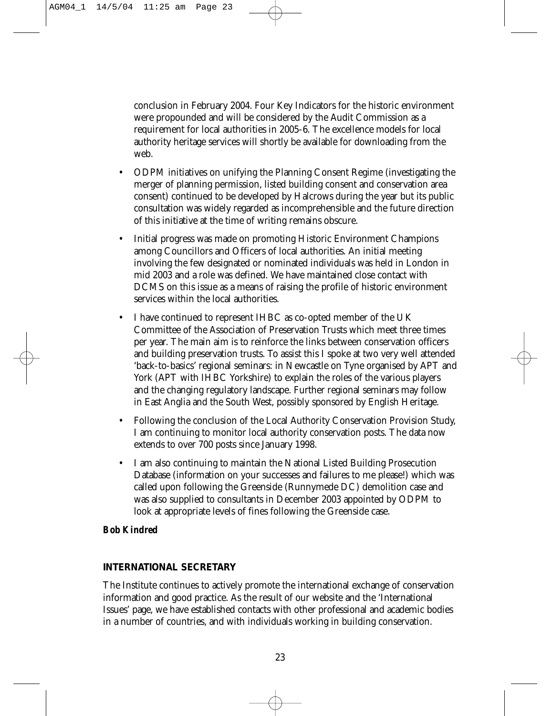conclusion in February 2004. Four Key Indicators for the historic environment were propounded and will be considered by the Audit Commission as a requirement for local authorities in 2005-6. The excellence models for local authority heritage services will shortly be available for downloading from the web.

- ODPM initiatives on unifying the Planning Consent Regime (investigating the merger of planning permission, listed building consent and conservation area consent) continued to be developed by Halcrows during the year but its public consultation was widely regarded as incomprehensible and the future direction of this initiative at the time of writing remains obscure.
- Initial progress was made on promoting Historic Environment Champions among Councillors and Officers of local authorities. An initial meeting involving the few designated or nominated individuals was held in London in mid 2003 and a role was defined. We have maintained close contact with DCMS on this issue as a means of raising the profile of historic environment services within the local authorities.
- I have continued to represent IHBC as co-opted member of the UK Committee of the Association of Preservation Trusts which meet three times per year. The main aim is to reinforce the links between conservation officers and building preservation trusts. To assist this I spoke at two very well attended 'back-to-basics' regional seminars: in Newcastle on Tyne organised by APT and York (APT with IHBC Yorkshire) to explain the roles of the various players and the changing regulatory landscape. Further regional seminars may follow in East Anglia and the South West, possibly sponsored by English Heritage.
- Following the conclusion of the Local Authority Conservation Provision Study, I am continuing to monitor local authority conservation posts. The data now extends to over 700 posts since January 1998.
- I am also continuing to maintain the National Listed Building Prosecution Database (information on your successes and failures to me please!) which was called upon following the Greenside (Runnymede DC) demolition case and was also supplied to consultants in December 2003 appointed by ODPM to look at appropriate levels of fines following the Greenside case.

#### *Bob Kindred*

#### **INTERNATIONAL SECRETARY**

The Institute continues to actively promote the international exchange of conservation information and good practice. As the result of our website and the 'International Issues' page, we have established contacts with other professional and academic bodies in a number of countries, and with individuals working in building conservation.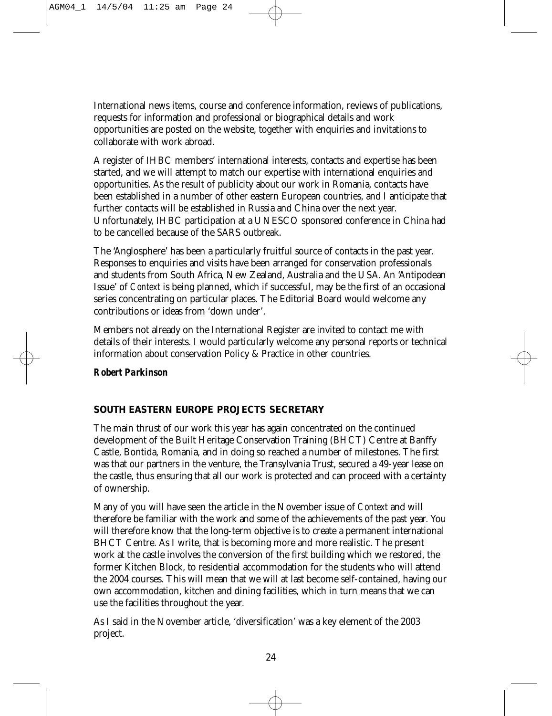International news items, course and conference information, reviews of publications, requests for information and professional or biographical details and work opportunities are posted on the website, together with enquiries and invitations to collaborate with work abroad.

A register of IHBC members' international interests, contacts and expertise has been started, and we will attempt to match our expertise with international enquiries and opportunities. As the result of publicity about our work in Romania, contacts have been established in a number of other eastern European countries, and I anticipate that further contacts will be established in Russia and China over the next year. Unfortunately, IHBC participation at a UNESCO sponsored conference in China had to be cancelled because of the SARS outbreak.

The 'Anglosphere' has been a particularly fruitful source of contacts in the past year. Responses to enquiries and visits have been arranged for conservation professionals and students from South Africa, New Zealand, Australia and the USA. An 'Antipodean Issue' of *Context* is being planned, which if successful, may be the first of an occasional series concentrating on particular places. The Editorial Board would welcome any contributions or ideas from 'down under'.

Members not already on the International Register are invited to contact me with details of their interests. I would particularly welcome any personal reports or technical information about conservation Policy & Practice in other countries.

*Robert Parkinson*

#### **SOUTH EASTERN EUROPE PROJECTS SECRETARY**

The main thrust of our work this year has again concentrated on the continued development of the Built Heritage Conservation Training (BHCT) Centre at Banffy Castle, Bontida, Romania, and in doing so reached a number of milestones. The first was that our partners in the venture, the Transylvania Trust, secured a 49-year lease on the castle, thus ensuring that all our work is protected and can proceed with a certainty of ownership.

Many of you will have seen the article in the November issue of *Context* and will therefore be familiar with the work and some of the achievements of the past year. You will therefore know that the long-term objective is to create a permanent international BHCT Centre. As I write, that is becoming more and more realistic. The present work at the castle involves the conversion of the first building which we restored, the former Kitchen Block, to residential accommodation for the students who will attend the 2004 courses. This will mean that we will at last become self-contained, having our own accommodation, kitchen and dining facilities, which in turn means that we can use the facilities throughout the year.

As I said in the November article, 'diversification' was a key element of the 2003 project.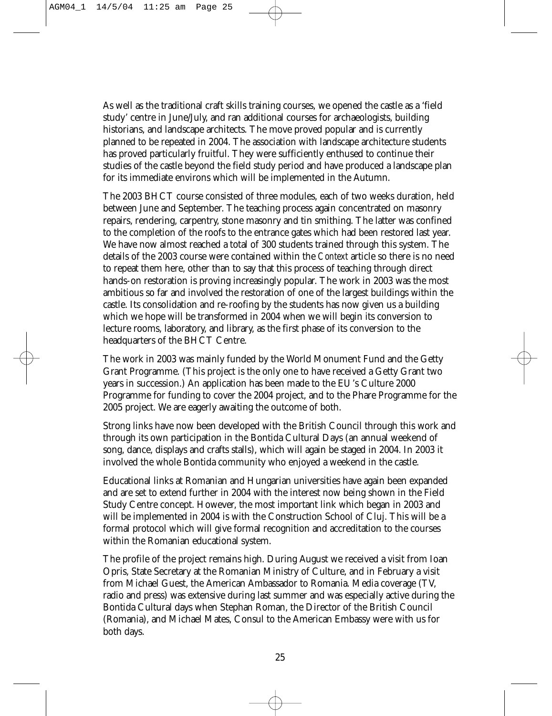As well as the traditional craft skills training courses, we opened the castle as a 'field study' centre in June/July, and ran additional courses for archaeologists, building historians, and landscape architects. The move proved popular and is currently planned to be repeated in 2004. The association with landscape architecture students has proved particularly fruitful. They were sufficiently enthused to continue their studies of the castle beyond the field study period and have produced a landscape plan for its immediate environs which will be implemented in the Autumn.

The 2003 BHCT course consisted of three modules, each of two weeks duration, held between June and September. The teaching process again concentrated on masonry repairs, rendering, carpentry, stone masonry and tin smithing. The latter was confined to the completion of the roofs to the entrance gates which had been restored last year. We have now almost reached a total of 300 students trained through this system. The details of the 2003 course were contained within the *Context* article so there is no need to repeat them here, other than to say that this process of teaching through direct hands-on restoration is proving increasingly popular. The work in 2003 was the most ambitious so far and involved the restoration of one of the largest buildings within the castle. Its consolidation and re-roofing by the students has now given us a building which we hope will be transformed in 2004 when we will begin its conversion to lecture rooms, laboratory, and library, as the first phase of its conversion to the headquarters of the BHCT Centre.

The work in 2003 was mainly funded by the World Monument Fund and the Getty Grant Programme. (This project is the only one to have received a Getty Grant two years in succession.) An application has been made to the EU's Culture 2000 Programme for funding to cover the 2004 project, and to the Phare Programme for the 2005 project. We are eagerly awaiting the outcome of both.

Strong links have now been developed with the British Council through this work and through its own participation in the Bontida Cultural Days (an annual weekend of song, dance, displays and crafts stalls), which will again be staged in 2004. In 2003 it involved the whole Bontida community who enjoyed a weekend in the castle.

Educational links at Romanian and Hungarian universities have again been expanded and are set to extend further in 2004 with the interest now being shown in the Field Study Centre concept. However, the most important link which began in 2003 and will be implemented in 2004 is with the Construction School of Cluj. This will be a formal protocol which will give formal recognition and accreditation to the courses within the Romanian educational system.

The profile of the project remains high. During August we received a visit from Ioan Opris, State Secretary at the Romanian Ministry of Culture, and in February a visit from Michael Guest, the American Ambassador to Romania. Media coverage (TV, radio and press) was extensive during last summer and was especially active during the Bontida Cultural days when Stephan Roman, the Director of the British Council (Romania), and Michael Mates, Consul to the American Embassy were with us for both days.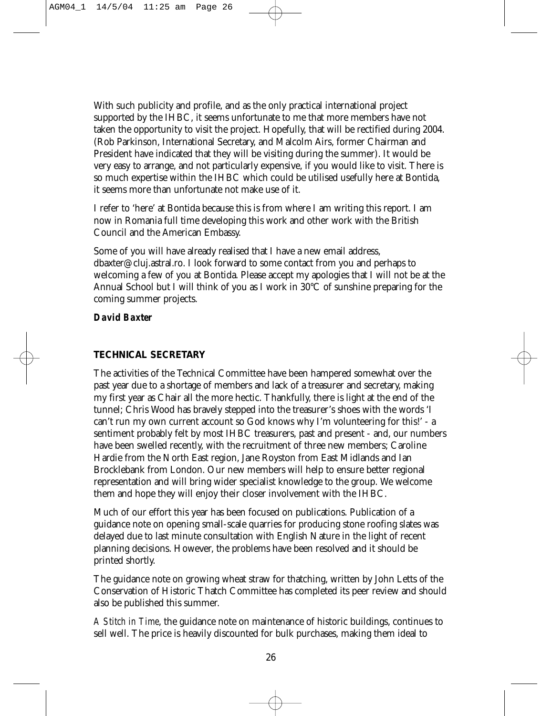With such publicity and profile, and as the only practical international project supported by the IHBC, it seems unfortunate to me that more members have not taken the opportunity to visit the project. Hopefully, that will be rectified during 2004. (Rob Parkinson, International Secretary, and Malcolm Airs, former Chairman and President have indicated that they will be visiting during the summer). It would be very easy to arrange, and not particularly expensive, if you would like to visit. There is so much expertise within the IHBC which could be utilised usefully here at Bontida, it seems more than unfortunate not make use of it.

I refer to 'here' at Bontida because this is from where I am writing this report. I am now in Romania full time developing this work and other work with the British Council and the American Embassy.

Some of you will have already realised that I have a new email address, dbaxter@cluj.astral.ro. I look forward to some contact from you and perhaps to welcoming a few of you at Bontida. Please accept my apologies that I will not be at the Annual School but I will think of you as I work in 30°C of sunshine preparing for the coming summer projects.

*David Baxter*

#### **TECHNICAL SECRETARY**

The activities of the Technical Committee have been hampered somewhat over the past year due to a shortage of members and lack of a treasurer and secretary, making my first year as Chair all the more hectic. Thankfully, there is light at the end of the tunnel; Chris Wood has bravely stepped into the treasurer's shoes with the words 'I can't run my own current account so God knows why I'm volunteering for this!' - a sentiment probably felt by most IHBC treasurers, past and present - and, our numbers have been swelled recently, with the recruitment of three new members; Caroline Hardie from the North East region, Jane Royston from East Midlands and Ian Brocklebank from London. Our new members will help to ensure better regional representation and will bring wider specialist knowledge to the group. We welcome them and hope they will enjoy their closer involvement with the IHBC.

Much of our effort this year has been focused on publications. Publication of a guidance note on opening small-scale quarries for producing stone roofing slates was delayed due to last minute consultation with English Nature in the light of recent planning decisions. However, the problems have been resolved and it should be printed shortly.

The guidance note on growing wheat straw for thatching, written by John Letts of the Conservation of Historic Thatch Committee has completed its peer review and should also be published this summer.

*A Stitch in Time*, the guidance note on maintenance of historic buildings, continues to sell well. The price is heavily discounted for bulk purchases, making them ideal to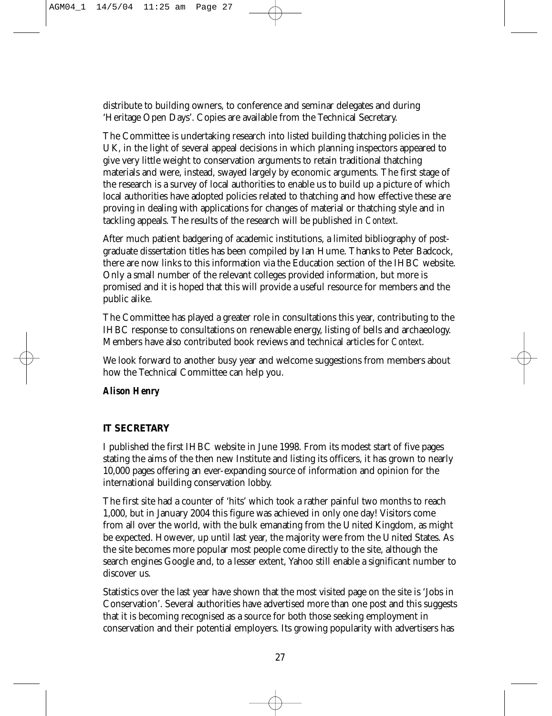distribute to building owners, to conference and seminar delegates and during 'Heritage Open Days'. Copies are available from the Technical Secretary.

The Committee is undertaking research into listed building thatching policies in the UK, in the light of several appeal decisions in which planning inspectors appeared to give very little weight to conservation arguments to retain traditional thatching materials and were, instead, swayed largely by economic arguments. The first stage of the research is a survey of local authorities to enable us to build up a picture of which local authorities have adopted policies related to thatching and how effective these are proving in dealing with applications for changes of material or thatching style and in tackling appeals. The results of the research will be published in *Context*.

After much patient badgering of academic institutions, a limited bibliography of postgraduate dissertation titles has been compiled by Ian Hume. Thanks to Peter Badcock, there are now links to this information via the Education section of the IHBC website. Only a small number of the relevant colleges provided information, but more is promised and it is hoped that this will provide a useful resource for members and the public alike.

The Committee has played a greater role in consultations this year, contributing to the IHBC response to consultations on renewable energy, listing of bells and archaeology. Members have also contributed book reviews and technical articles for *Context*.

We look forward to another busy year and welcome suggestions from members about how the Technical Committee can help you.

*Alison Henry*

#### **IT SECRETARY**

I published the first IHBC website in June 1998. From its modest start of five pages stating the aims of the then new Institute and listing its officers, it has grown to nearly 10,000 pages offering an ever-expanding source of information and opinion for the international building conservation lobby.

The first site had a counter of 'hits' which took a rather painful two months to reach 1,000, but in January 2004 this figure was achieved in only one day! Visitors come from all over the world, with the bulk emanating from the United Kingdom, as might be expected. However, up until last year, the majority were from the United States. As the site becomes more popular most people come directly to the site, although the search engines Google and, to a lesser extent, Yahoo still enable a significant number to discover us.

Statistics over the last year have shown that the most visited page on the site is 'Jobs in Conservation'. Several authorities have advertised more than one post and this suggests that it is becoming recognised as a source for both those seeking employment in conservation and their potential employers. Its growing popularity with advertisers has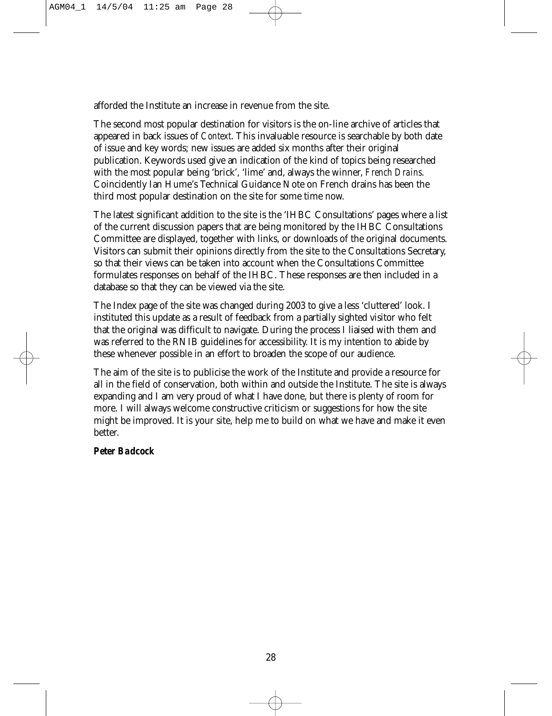afforded the Institute an increase in revenue from the site.

The second most popular destination for visitors is the on-line archive of articles that appeared in back issues of *Context*. This invaluable resource is searchable by both date of issue and key words; new issues are added six months after their original publication. Keywords used give an indication of the kind of topics being researched with the most popular being 'brick', 'lime' and, always the winner, *French Drains*. Coincidently Ian Hume's Technical Guidance Note on French drains has been the third most popular destination on the site for some time now.

The latest significant addition to the site is the 'IHBC Consultations' pages where a list of the current discussion papers that are being monitored by the IHBC Consultations Committee are displayed, together with links, or downloads of the original documents. Visitors can submit their opinions directly from the site to the Consultations Secretary, so that their views can be taken into account when the Consultations Committee formulates responses on behalf of the IHBC. These responses are then included in a database so that they can be viewed via the site.

The Index page of the site was changed during 2003 to give a less 'cluttered' look. I instituted this update as a result of feedback from a partially sighted visitor who felt that the original was difficult to navigate. During the process I liaised with them and was referred to the RNIB guidelines for accessibility. It is my intention to abide by these whenever possible in an effort to broaden the scope of our audience.

The aim of the site is to publicise the work of the Institute and provide a resource for all in the field of conservation, both within and outside the Institute. The site is always expanding and I am very proud of what I have done, but there is plenty of room for more. I will always welcome constructive criticism or suggestions for how the site might be improved. It is your site, help me to build on what we have and make it even better.

*Peter Badcock*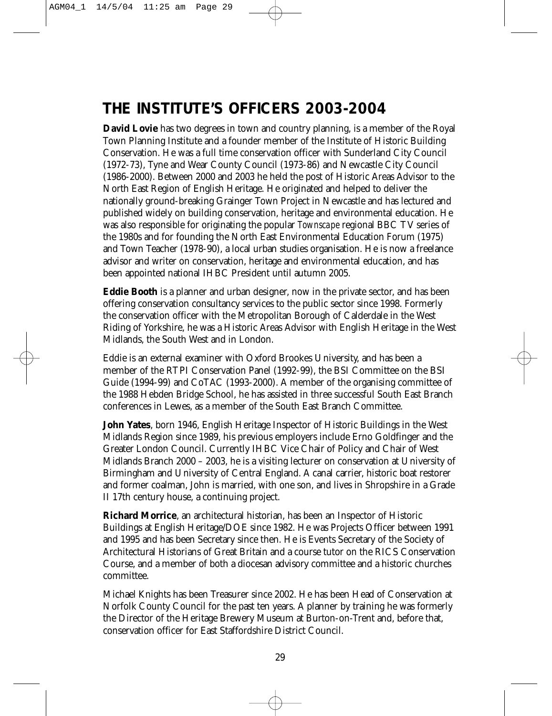### **THE INSTITUTE'S OFFICERS 2003-2004**

**David Lovie** has two degrees in town and country planning, is a member of the Royal Town Planning Institute and a founder member of the Institute of Historic Building Conservation. He was a full time conservation officer with Sunderland City Council (1972-73), Tyne and Wear County Council (1973-86) and Newcastle City Council (1986-2000). Between 2000 and 2003 he held the post of Historic Areas Advisor to the North East Region of English Heritage. He originated and helped to deliver the nationally ground-breaking Grainger Town Project in Newcastle and has lectured and published widely on building conservation, heritage and environmental education. He was also responsible for originating the popular *Townscape* regional BBC TV series of the 1980s and for founding the North East Environmental Education Forum (1975) and Town Teacher (1978-90), a local urban studies organisation. He is now a freelance advisor and writer on conservation, heritage and environmental education, and has been appointed national IHBC President until autumn 2005.

**Eddie Booth** is a planner and urban designer, now in the private sector, and has been offering conservation consultancy services to the public sector since 1998. Formerly the conservation officer with the Metropolitan Borough of Calderdale in the West Riding of Yorkshire, he was a Historic Areas Advisor with English Heritage in the West Midlands, the South West and in London.

Eddie is an external examiner with Oxford Brookes University, and has been a member of the RTPI Conservation Panel (1992-99), the BSI Committee on the BSI Guide (1994-99) and CoTAC (1993-2000). A member of the organising committee of the 1988 Hebden Bridge School, he has assisted in three successful South East Branch conferences in Lewes, as a member of the South East Branch Committee.

**John Yates**, born 1946, English Heritage Inspector of Historic Buildings in the West Midlands Region since 1989, his previous employers include Erno Goldfinger and the Greater London Council. Currently IHBC Vice Chair of Policy and Chair of West Midlands Branch 2000 – 2003, he is a visiting lecturer on conservation at University of Birmingham and University of Central England. A canal carrier, historic boat restorer and former coalman, John is married, with one son, and lives in Shropshire in a Grade II 17th century house, a continuing project.

**Richard Morrice**, an architectural historian, has been an Inspector of Historic Buildings at English Heritage/DOE since 1982. He was Projects Officer between 1991 and 1995 and has been Secretary since then. He is Events Secretary of the Society of Architectural Historians of Great Britain and a course tutor on the RICS Conservation Course, and a member of both a diocesan advisory committee and a historic churches committee.

Michael Knights has been Treasurer since 2002. He has been Head of Conservation at Norfolk County Council for the past ten years. A planner by training he was formerly the Director of the Heritage Brewery Museum at Burton-on-Trent and, before that, conservation officer for East Staffordshire District Council.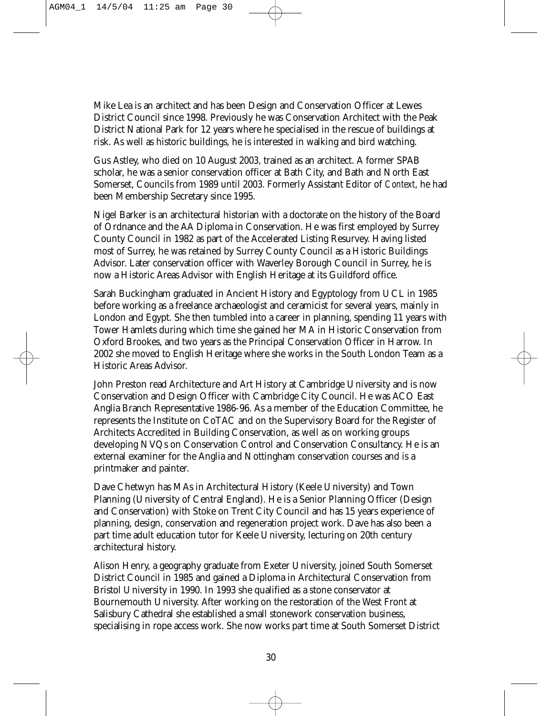Mike Lea is an architect and has been Design and Conservation Officer at Lewes District Council since 1998. Previously he was Conservation Architect with the Peak District National Park for 12 years where he specialised in the rescue of buildings at risk. As well as historic buildings, he is interested in walking and bird watching.

Gus Astley, who died on 10 August 2003, trained as an architect. A former SPAB scholar, he was a senior conservation officer at Bath City, and Bath and North East Somerset, Councils from 1989 until 2003. Formerly Assistant Editor of *Context*, he had been Membership Secretary since 1995.

Nigel Barker is an architectural historian with a doctorate on the history of the Board of Ordnance and the AA Diploma in Conservation. He was first employed by Surrey County Council in 1982 as part of the Accelerated Listing Resurvey. Having listed most of Surrey, he was retained by Surrey County Council as a Historic Buildings Advisor. Later conservation officer with Waverley Borough Council in Surrey, he is now a Historic Areas Advisor with English Heritage at its Guildford office.

Sarah Buckingham graduated in Ancient History and Egyptology from UCL in 1985 before working as a freelance archaeologist and ceramicist for several years, mainly in London and Egypt. She then tumbled into a career in planning, spending 11 years with Tower Hamlets during which time she gained her MA in Historic Conservation from Oxford Brookes, and two years as the Principal Conservation Officer in Harrow. In 2002 she moved to English Heritage where she works in the South London Team as a Historic Areas Advisor.

John Preston read Architecture and Art History at Cambridge University and is now Conservation and Design Officer with Cambridge City Council. He was ACO East Anglia Branch Representative 1986-96. As a member of the Education Committee, he represents the Institute on CoTAC and on the Supervisory Board for the Register of Architects Accredited in Building Conservation, as well as on working groups developing NVQs on Conservation Control and Conservation Consultancy. He is an external examiner for the Anglia and Nottingham conservation courses and is a printmaker and painter.

Dave Chetwyn has MAs in Architectural History (Keele University) and Town Planning (University of Central England). He is a Senior Planning Officer (Design and Conservation) with Stoke on Trent City Council and has 15 years experience of planning, design, conservation and regeneration project work. Dave has also been a part time adult education tutor for Keele University, lecturing on 20th century architectural history.

Alison Henry, a geography graduate from Exeter University, joined South Somerset District Council in 1985 and gained a Diploma in Architectural Conservation from Bristol University in 1990. In 1993 she qualified as a stone conservator at Bournemouth University. After working on the restoration of the West Front at Salisbury Cathedral she established a small stonework conservation business, specialising in rope access work. She now works part time at South Somerset District

30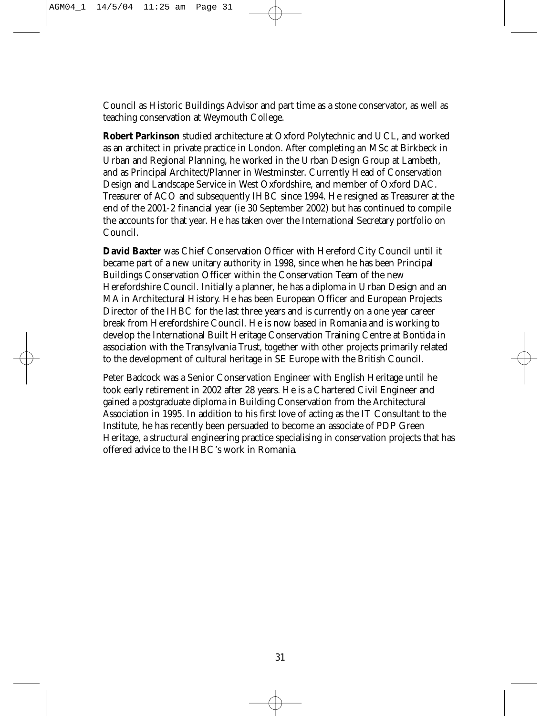Council as Historic Buildings Advisor and part time as a stone conservator, as well as teaching conservation at Weymouth College.

**Robert Parkinson** studied architecture at Oxford Polytechnic and UCL, and worked as an architect in private practice in London. After completing an MSc at Birkbeck in Urban and Regional Planning, he worked in the Urban Design Group at Lambeth, and as Principal Architect/Planner in Westminster. Currently Head of Conservation Design and Landscape Service in West Oxfordshire, and member of Oxford DAC. Treasurer of ACO and subsequently IHBC since 1994. He resigned as Treasurer at the end of the 2001-2 financial year (ie 30 September 2002) but has continued to compile the accounts for that year. He has taken over the International Secretary portfolio on Council.

**David Baxter** was Chief Conservation Officer with Hereford City Council until it became part of a new unitary authority in 1998, since when he has been Principal Buildings Conservation Officer within the Conservation Team of the new Herefordshire Council. Initially a planner, he has a diploma in Urban Design and an MA in Architectural History. He has been European Officer and European Projects Director of the IHBC for the last three years and is currently on a one year career break from Herefordshire Council. He is now based in Romania and is working to develop the International Built Heritage Conservation Training Centre at Bontida in association with the Transylvania Trust, together with other projects primarily related to the development of cultural heritage in SE Europe with the British Council.

Peter Badcock was a Senior Conservation Engineer with English Heritage until he took early retirement in 2002 after 28 years. He is a Chartered Civil Engineer and gained a postgraduate diploma in Building Conservation from the Architectural Association in 1995. In addition to his first love of acting as the IT Consultant to the Institute, he has recently been persuaded to become an associate of PDP Green Heritage, a structural engineering practice specialising in conservation projects that has offered advice to the IHBC's work in Romania.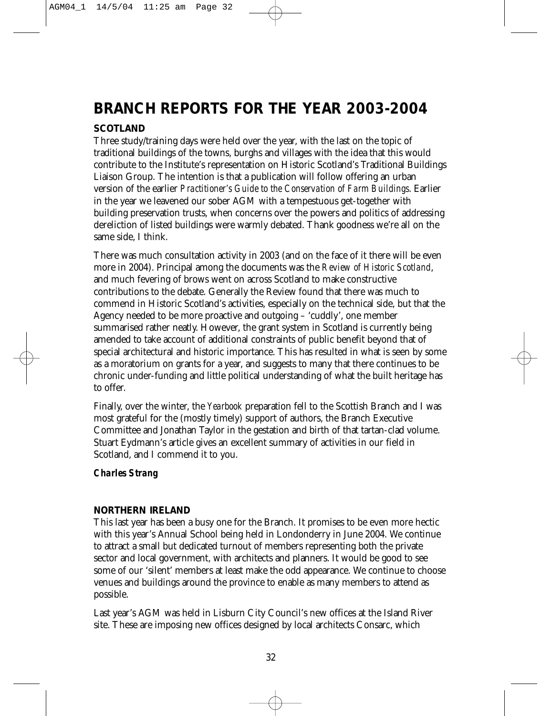### **BRANCH REPORTS FOR THE YEAR 2003-2004 SCOTLAND**

Three study/training days were held over the year, with the last on the topic of traditional buildings of the towns, burghs and villages with the idea that this would contribute to the Institute's representation on Historic Scotland's Traditional Buildings Liaison Group. The intention is that a publication will follow offering an urban version of the earlier *Practitioner's Guide to the Conservation of Farm Buildings*. Earlier in the year we leavened our sober AGM with a tempestuous get-together with building preservation trusts, when concerns over the powers and politics of addressing dereliction of listed buildings were warmly debated. Thank goodness we're all on the same side, I think.

There was much consultation activity in 2003 (and on the face of it there will be even more in 2004). Principal among the documents was the *Review of Historic Scotland*, and much fevering of brows went on across Scotland to make constructive contributions to the debate. Generally the Review found that there was much to commend in Historic Scotland's activities, especially on the technical side, but that the Agency needed to be more proactive and outgoing – 'cuddly', one member summarised rather neatly. However, the grant system in Scotland is currently being amended to take account of additional constraints of public benefit beyond that of special architectural and historic importance. This has resulted in what is seen by some as a moratorium on grants for a year, and suggests to many that there continues to be chronic under-funding and little political understanding of what the built heritage has to offer.

Finally, over the winter, the *Yearbook* preparation fell to the Scottish Branch and I was most grateful for the (mostly timely) support of authors, the Branch Executive Committee and Jonathan Taylor in the gestation and birth of that tartan-clad volume. Stuart Eydmann's article gives an excellent summary of activities in our field in Scotland, and I commend it to you.

*Charles Strang*

#### **NORTHERN IRELAND**

This last year has been a busy one for the Branch. It promises to be even more hectic with this year's Annual School being held in Londonderry in June 2004. We continue to attract a small but dedicated turnout of members representing both the private sector and local government, with architects and planners. It would be good to see some of our 'silent' members at least make the odd appearance. We continue to choose venues and buildings around the province to enable as many members to attend as possible.

Last year's AGM was held in Lisburn City Council's new offices at the Island River site. These are imposing new offices designed by local architects Consarc, which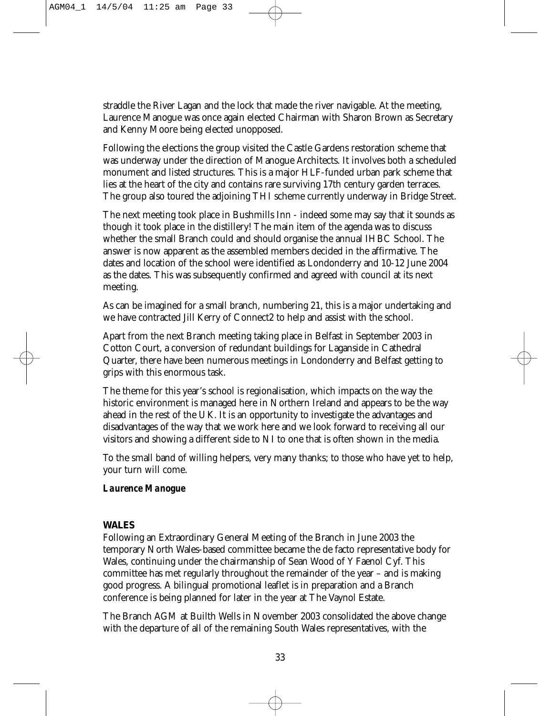straddle the River Lagan and the lock that made the river navigable. At the meeting, Laurence Manogue was once again elected Chairman with Sharon Brown as Secretary and Kenny Moore being elected unopposed.

Following the elections the group visited the Castle Gardens restoration scheme that was underway under the direction of Manogue Architects. It involves both a scheduled monument and listed structures. This is a major HLF-funded urban park scheme that lies at the heart of the city and contains rare surviving 17th century garden terraces. The group also toured the adjoining THI scheme currently underway in Bridge Street.

The next meeting took place in Bushmills Inn - indeed some may say that it sounds as though it took place in the distillery! The main item of the agenda was to discuss whether the small Branch could and should organise the annual IHBC School. The answer is now apparent as the assembled members decided in the affirmative. The dates and location of the school were identified as Londonderry and 10-12 June 2004 as the dates. This was subsequently confirmed and agreed with council at its next meeting.

As can be imagined for a small branch, numbering 21, this is a major undertaking and we have contracted Jill Kerry of Connect2 to help and assist with the school.

Apart from the next Branch meeting taking place in Belfast in September 2003 in Cotton Court, a conversion of redundant buildings for Laganside in Cathedral Quarter, there have been numerous meetings in Londonderry and Belfast getting to grips with this enormous task.

The theme for this year's school is regionalisation, which impacts on the way the historic environment is managed here in Northern Ireland and appears to be the way ahead in the rest of the UK. It is an opportunity to investigate the advantages and disadvantages of the way that we work here and we look forward to receiving all our visitors and showing a different side to NI to one that is often shown in the media.

To the small band of willing helpers, very many thanks; to those who have yet to help, your turn will come.

*Laurence Manogue*

#### **WALES**

Following an Extraordinary General Meeting of the Branch in June 2003 the temporary North Wales-based committee became the de facto representative body for Wales, continuing under the chairmanship of Sean Wood of Y Faenol Cyf. This committee has met regularly throughout the remainder of the year – and is making good progress. A bilingual promotional leaflet is in preparation and a Branch conference is being planned for later in the year at The Vaynol Estate.

The Branch AGM at Builth Wells in November 2003 consolidated the above change with the departure of all of the remaining South Wales representatives, with the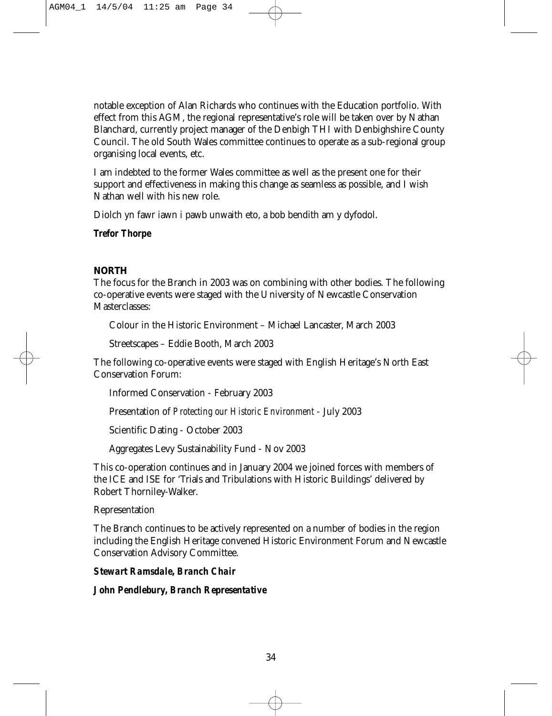notable exception of Alan Richards who continues with the Education portfolio. With effect from this AGM, the regional representative's role will be taken over by Nathan Blanchard, currently project manager of the Denbigh THI with Denbighshire County Council. The old South Wales committee continues to operate as a sub-regional group organising local events, etc.

I am indebted to the former Wales committee as well as the present one for their support and effectiveness in making this change as seamless as possible, and I wish Nathan well with his new role.

Diolch yn fawr iawn i pawb unwaith eto, a bob bendith am y dyfodol.

*Trefor Thorpe*

#### **NORTH**

The focus for the Branch in 2003 was on combining with other bodies. The following co-operative events were staged with the University of Newcastle Conservation Masterclasses:

Colour in the Historic Environment – Michael Lancaster, March 2003

Streetscapes – Eddie Booth, March 2003

The following co-operative events were staged with English Heritage's North East Conservation Forum:

Informed Conservation - February 2003

Presentation of *Protecting our Historic Environment* - July 2003

Scientific Dating - October 2003

Aggregates Levy Sustainability Fund - Nov 2003

This co-operation continues and in January 2004 we joined forces with members of the ICE and ISE for 'Trials and Tribulations with Historic Buildings' delivered by Robert Thorniley-Walker.

Representation

The Branch continues to be actively represented on a number of bodies in the region including the English Heritage convened Historic Environment Forum and Newcastle Conservation Advisory Committee.

*Stewart Ramsdale, Branch Chair*

*John Pendlebury, Branch Representative*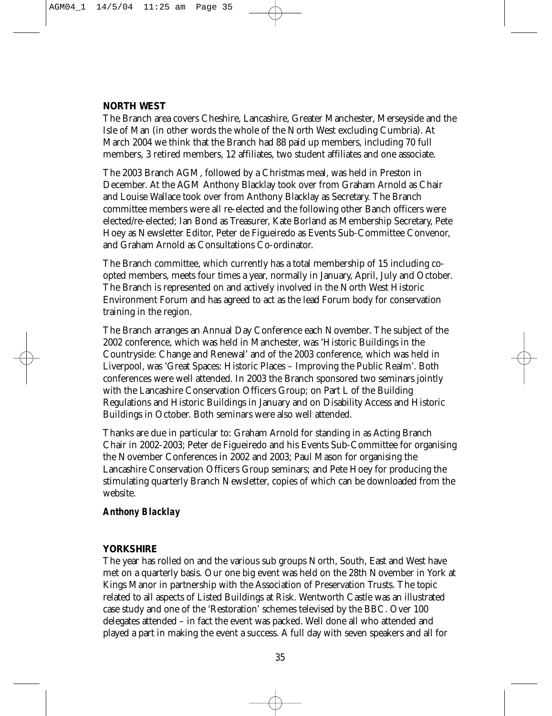#### **NORTH WEST**

The Branch area covers Cheshire, Lancashire, Greater Manchester, Merseyside and the Isle of Man (in other words the whole of the North West excluding Cumbria). At March 2004 we think that the Branch had 88 paid up members, including 70 full members, 3 retired members, 12 affiliates, two student affiliates and one associate.

The 2003 Branch AGM, followed by a Christmas meal, was held in Preston in December. At the AGM Anthony Blacklay took over from Graham Arnold as Chair and Louise Wallace took over from Anthony Blacklay as Secretary. The Branch committee members were all re-elected and the following other Banch officers were elected/re-elected; Ian Bond as Treasurer, Kate Borland as Membership Secretary, Pete Hoey as Newsletter Editor, Peter de Figueiredo as Events Sub-Committee Convenor, and Graham Arnold as Consultations Co-ordinator.

The Branch committee, which currently has a total membership of 15 including coopted members, meets four times a year, normally in January, April, July and October. The Branch is represented on and actively involved in the North West Historic Environment Forum and has agreed to act as the lead Forum body for conservation training in the region.

The Branch arranges an Annual Day Conference each November. The subject of the 2002 conference, which was held in Manchester, was 'Historic Buildings in the Countryside: Change and Renewal' and of the 2003 conference, which was held in Liverpool, was 'Great Spaces: Historic Places – Improving the Public Realm'. Both conferences were well attended. In 2003 the Branch sponsored two seminars jointly with the Lancashire Conservation Officers Group; on Part L of the Building Regulations and Historic Buildings in January and on Disability Access and Historic Buildings in October. Both seminars were also well attended.

Thanks are due in particular to: Graham Arnold for standing in as Acting Branch Chair in 2002-2003; Peter de Figueiredo and his Events Sub-Committee for organising the November Conferences in 2002 and 2003; Paul Mason for organising the Lancashire Conservation Officers Group seminars; and Pete Hoey for producing the stimulating quarterly Branch Newsletter, copies of which can be downloaded from the website.

#### *Anthony Blacklay*

#### **YORKSHIRE**

The year has rolled on and the various sub groups North, South, East and West have met on a quarterly basis. Our one big event was held on the 28th November in York at Kings Manor in partnership with the Association of Preservation Trusts. The topic related to all aspects of Listed Buildings at Risk. Wentworth Castle was an illustrated case study and one of the 'Restoration' schemes televised by the BBC. Over 100 delegates attended – in fact the event was packed. Well done all who attended and played a part in making the event a success. A full day with seven speakers and all for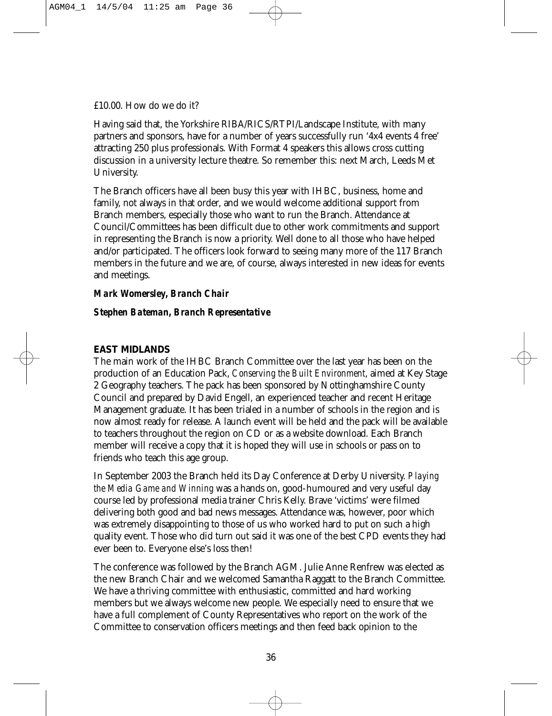#### £10.00. How do we do it?

Having said that, the Yorkshire RIBA/RICS/RTPI/Landscape Institute, with many partners and sponsors, have for a number of years successfully run '4x4 events 4 free' attracting 250 plus professionals. With Format 4 speakers this allows cross cutting discussion in a university lecture theatre. So remember this: next March, Leeds Met University.

The Branch officers have all been busy this year with IHBC, business, home and family, not always in that order, and we would welcome additional support from Branch members, especially those who want to run the Branch. Attendance at Council/Committees has been difficult due to other work commitments and support in representing the Branch is now a priority. Well done to all those who have helped and/or participated. The officers look forward to seeing many more of the 117 Branch members in the future and we are, of course, always interested in new ideas for events and meetings.

#### *Mark Womersley, Branch Chair*

*Stephen Bateman, Branch Representative*

#### **EAST MIDLANDS**

The main work of the IHBC Branch Committee over the last year has been on the production of an Education Pack, *Conserving the Built Environment*, aimed at Key Stage 2 Geography teachers. The pack has been sponsored by Nottinghamshire County Council and prepared by David Engell, an experienced teacher and recent Heritage Management graduate. It has been trialed in a number of schools in the region and is now almost ready for release. A launch event will be held and the pack will be available to teachers throughout the region on CD or as a website download. Each Branch member will receive a copy that it is hoped they will use in schools or pass on to friends who teach this age group.

In September 2003 the Branch held its Day Conference at Derby University. *Playing the Media Game and Winning* was a hands on, good-humoured and very useful day course led by professional media trainer Chris Kelly. Brave 'victims' were filmed delivering both good and bad news messages. Attendance was, however, poor which was extremely disappointing to those of us who worked hard to put on such a high quality event. Those who did turn out said it was one of the best CPD events they had ever been to. Everyone else's loss then!

The conference was followed by the Branch AGM. Julie Anne Renfrew was elected as the new Branch Chair and we welcomed Samantha Raggatt to the Branch Committee. We have a thriving committee with enthusiastic, committed and hard working members but we always welcome new people. We especially need to ensure that we have a full complement of County Representatives who report on the work of the Committee to conservation officers meetings and then feed back opinion to the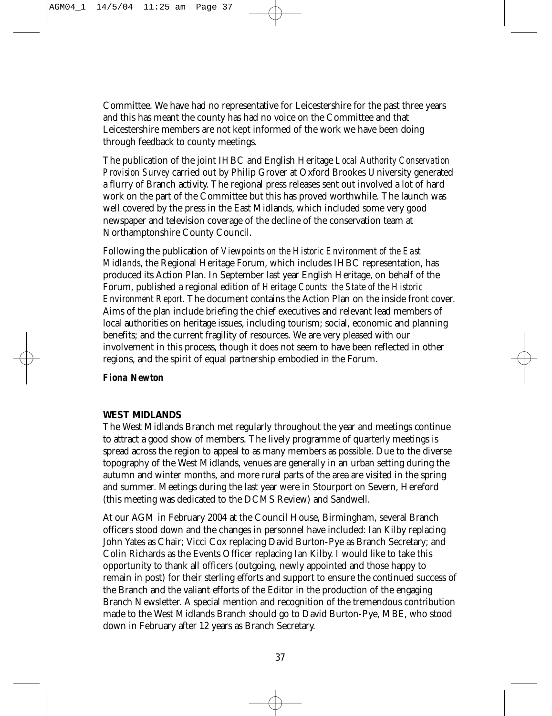Committee. We have had no representative for Leicestershire for the past three years and this has meant the county has had no voice on the Committee and that Leicestershire members are not kept informed of the work we have been doing through feedback to county meetings.

The publication of the joint IHBC and English Heritage *Local Authority Conservation Provision Survey* carried out by Philip Grover at Oxford Brookes University generated a flurry of Branch activity. The regional press releases sent out involved a lot of hard work on the part of the Committee but this has proved worthwhile. The launch was well covered by the press in the East Midlands, which included some very good newspaper and television coverage of the decline of the conservation team at Northamptonshire County Council.

Following the publication of *Viewpoints on the Historic Environment of the East Midlands*, the Regional Heritage Forum, which includes IHBC representation, has produced its Action Plan. In September last year English Heritage, on behalf of the Forum, published a regional edition of *Heritage Counts: the State of the Historic Environment Report*. The document contains the Action Plan on the inside front cover. Aims of the plan include briefing the chief executives and relevant lead members of local authorities on heritage issues, including tourism; social, economic and planning benefits; and the current fragility of resources. We are very pleased with our involvement in this process, though it does not seem to have been reflected in other regions, and the spirit of equal partnership embodied in the Forum.

*Fiona Newton*

#### **WEST MIDLANDS**

The West Midlands Branch met regularly throughout the year and meetings continue to attract a good show of members. The lively programme of quarterly meetings is spread across the region to appeal to as many members as possible. Due to the diverse topography of the West Midlands, venues are generally in an urban setting during the autumn and winter months, and more rural parts of the area are visited in the spring and summer. Meetings during the last year were in Stourport on Severn, Hereford (this meeting was dedicated to the DCMS Review) and Sandwell.

At our AGM in February 2004 at the Council House, Birmingham, several Branch officers stood down and the changes in personnel have included: Ian Kilby replacing John Yates as Chair; Vicci Cox replacing David Burton-Pye as Branch Secretary; and Colin Richards as the Events Officer replacing Ian Kilby. I would like to take this opportunity to thank all officers (outgoing, newly appointed and those happy to remain in post) for their sterling efforts and support to ensure the continued success of the Branch and the valiant efforts of the Editor in the production of the engaging Branch Newsletter. A special mention and recognition of the tremendous contribution made to the West Midlands Branch should go to David Burton-Pye, MBE, who stood down in February after 12 years as Branch Secretary.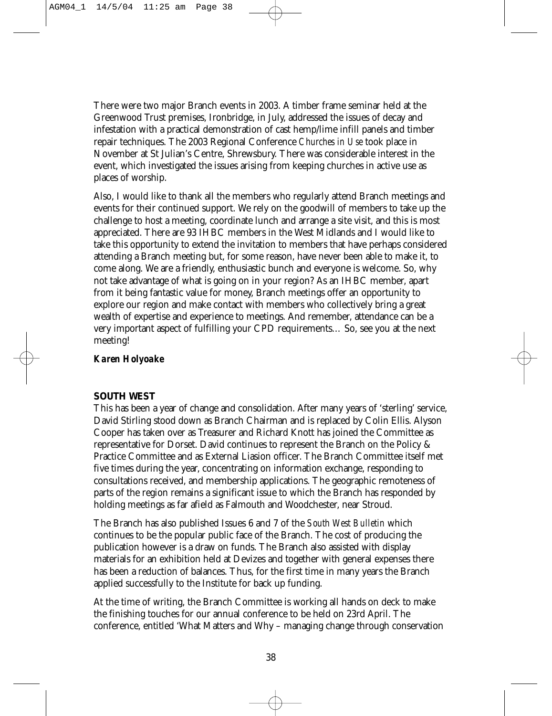There were two major Branch events in 2003. A timber frame seminar held at the Greenwood Trust premises, Ironbridge, in July, addressed the issues of decay and infestation with a practical demonstration of cast hemp/lime infill panels and timber repair techniques. The 2003 Regional Conference *Churches in Use* took place in November at St Julian's Centre, Shrewsbury. There was considerable interest in the event, which investigated the issues arising from keeping churches in active use as places of worship.

Also, I would like to thank all the members who regularly attend Branch meetings and events for their continued support. We rely on the goodwill of members to take up the challenge to host a meeting, coordinate lunch and arrange a site visit, and this is most appreciated. There are 93 IHBC members in the West Midlands and I would like to take this opportunity to extend the invitation to members that have perhaps considered attending a Branch meeting but, for some reason, have never been able to make it, to come along. We are a friendly, enthusiastic bunch and everyone is welcome. So, why not take advantage of what is going on in your region? As an IHBC member, apart from it being fantastic value for money, Branch meetings offer an opportunity to explore our region and make contact with members who collectively bring a great wealth of expertise and experience to meetings. And remember, attendance can be a very important aspect of fulfilling your CPD requirements… So, see you at the next meeting!

*Karen Holyoake*

#### **SOUTH WEST**

This has been a year of change and consolidation. After many years of 'sterling' service, David Stirling stood down as Branch Chairman and is replaced by Colin Ellis. Alyson Cooper has taken over as Treasurer and Richard Knott has joined the Committee as representative for Dorset. David continues to represent the Branch on the Policy & Practice Committee and as External Liasion officer. The Branch Committee itself met five times during the year, concentrating on information exchange, responding to consultations received, and membership applications. The geographic remoteness of parts of the region remains a significant issue to which the Branch has responded by holding meetings as far afield as Falmouth and Woodchester, near Stroud.

The Branch has also published Issues 6 and 7 of the *South West Bulletin* which continues to be the popular public face of the Branch. The cost of producing the publication however is a draw on funds. The Branch also assisted with display materials for an exhibition held at Devizes and together with general expenses there has been a reduction of balances. Thus, for the first time in many years the Branch applied successfully to the Institute for back up funding.

At the time of writing, the Branch Committee is working all hands on deck to make the finishing touches for our annual conference to be held on 23rd April. The conference, entitled 'What Matters and Why – managing change through conservation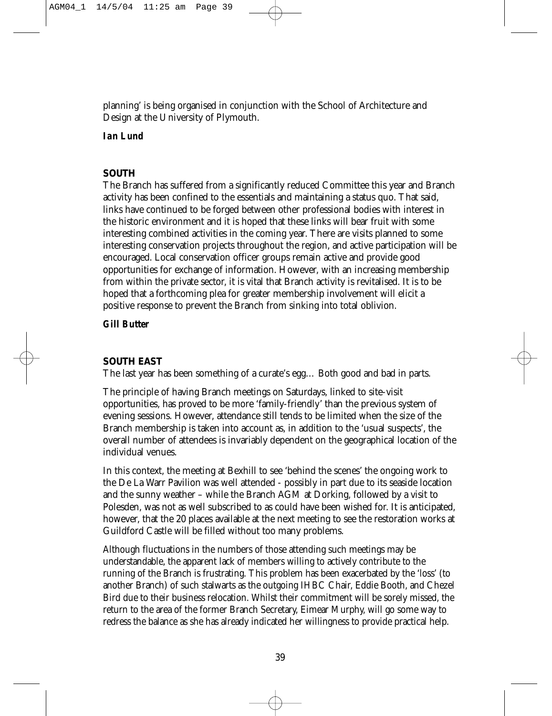planning' is being organised in conjunction with the School of Architecture and Design at the University of Plymouth.

*Ian Lund*

#### **SOUTH**

The Branch has suffered from a significantly reduced Committee this year and Branch activity has been confined to the essentials and maintaining a status quo. That said, links have continued to be forged between other professional bodies with interest in the historic environment and it is hoped that these links will bear fruit with some interesting combined activities in the coming year. There are visits planned to some interesting conservation projects throughout the region, and active participation will be encouraged. Local conservation officer groups remain active and provide good opportunities for exchange of information. However, with an increasing membership from within the private sector, it is vital that Branch activity is revitalised. It is to be hoped that a forthcoming plea for greater membership involvement will elicit a positive response to prevent the Branch from sinking into total oblivion.

*Gill Butter*

#### **SOUTH EAST**

The last year has been something of a curate's egg… Both good and bad in parts.

The principle of having Branch meetings on Saturdays, linked to site-visit opportunities, has proved to be more 'family-friendly' than the previous system of evening sessions. However, attendance still tends to be limited when the size of the Branch membership is taken into account as, in addition to the 'usual suspects', the overall number of attendees is invariably dependent on the geographical location of the individual venues.

In this context, the meeting at Bexhill to see 'behind the scenes' the ongoing work to the De La Warr Pavilion was well attended - possibly in part due to its seaside location and the sunny weather – while the Branch AGM at Dorking, followed by a visit to Polesden, was not as well subscribed to as could have been wished for. It is anticipated, however, that the 20 places available at the next meeting to see the restoration works at Guildford Castle will be filled without too many problems.

Although fluctuations in the numbers of those attending such meetings may be understandable, the apparent lack of members willing to actively contribute to the running of the Branch is frustrating. This problem has been exacerbated by the 'loss' (to another Branch) of such stalwarts as the outgoing IHBC Chair, Eddie Booth, and Chezel Bird due to their business relocation. Whilst their commitment will be sorely missed, the return to the area of the former Branch Secretary, Eimear Murphy, will go some way to redress the balance as she has already indicated her willingness to provide practical help.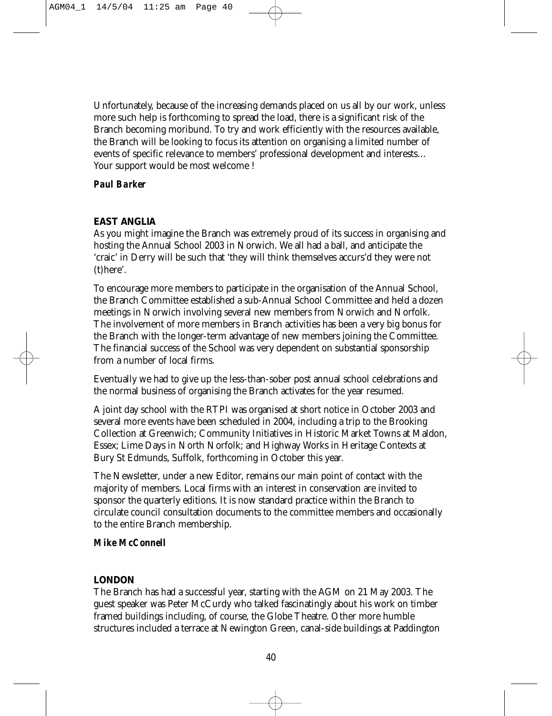Unfortunately, because of the increasing demands placed on us all by our work, unless more such help is forthcoming to spread the load, there is a significant risk of the Branch becoming moribund. To try and work efficiently with the resources available, the Branch will be looking to focus its attention on organising a limited number of events of specific relevance to members' professional development and interests… Your support would be most welcome !

*Paul Barker* 

#### **EAST ANGLIA**

As you might imagine the Branch was extremely proud of its success in organising and hosting the Annual School 2003 in Norwich. We all had a ball, and anticipate the 'craic' in Derry will be such that 'they will think themselves accurs'd they were not (t)here'.

To encourage more members to participate in the organisation of the Annual School, the Branch Committee established a sub-Annual School Committee and held a dozen meetings in Norwich involving several new members from Norwich and Norfolk. The involvement of more members in Branch activities has been a very big bonus for the Branch with the longer-term advantage of new members joining the Committee. The financial success of the School was very dependent on substantial sponsorship from a number of local firms.

Eventually we had to give up the less-than-sober post annual school celebrations and the normal business of organising the Branch activates for the year resumed.

A joint day school with the RTPI was organised at short notice in October 2003 and several more events have been scheduled in 2004, including a trip to the Brooking Collection at Greenwich; Community Initiatives in Historic Market Towns at Maldon, Essex; Lime Days in North Norfolk; and Highway Works in Heritage Contexts at Bury St Edmunds, Suffolk, forthcoming in October this year.

The Newsletter, under a new Editor, remains our main point of contact with the majority of members. Local firms with an interest in conservation are invited to sponsor the quarterly editions. It is now standard practice within the Branch to circulate council consultation documents to the committee members and occasionally to the entire Branch membership.

*Mike McConnell*

#### **LONDON**

The Branch has had a successful year, starting with the AGM on 21 May 2003. The guest speaker was Peter McCurdy who talked fascinatingly about his work on timber framed buildings including, of course, the Globe Theatre. Other more humble structures included a terrace at Newington Green, canal-side buildings at Paddington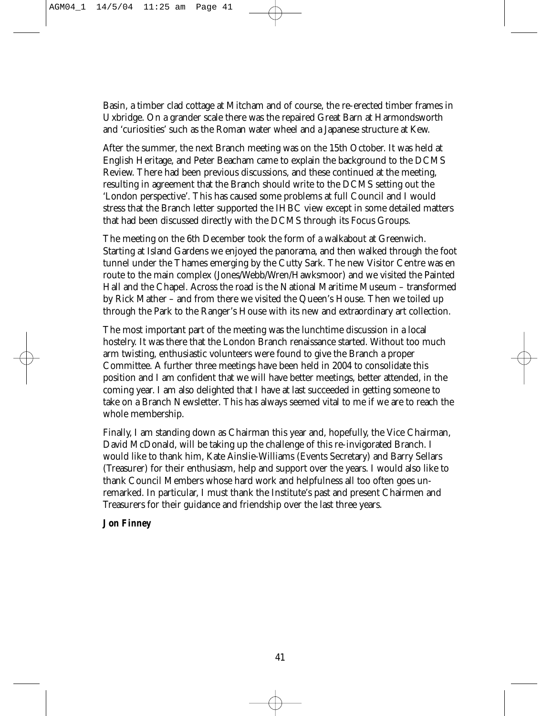Basin, a timber clad cottage at Mitcham and of course, the re-erected timber frames in Uxbridge. On a grander scale there was the repaired Great Barn at Harmondsworth and 'curiosities' such as the Roman water wheel and a Japanese structure at Kew.

After the summer, the next Branch meeting was on the 15th October. It was held at English Heritage, and Peter Beacham came to explain the background to the DCMS Review. There had been previous discussions, and these continued at the meeting, resulting in agreement that the Branch should write to the DCMS setting out the 'London perspective'. This has caused some problems at full Council and I would stress that the Branch letter supported the IHBC view except in some detailed matters that had been discussed directly with the DCMS through its Focus Groups.

The meeting on the 6th December took the form of a walkabout at Greenwich. Starting at Island Gardens we enjoyed the panorama, and then walked through the foot tunnel under the Thames emerging by the Cutty Sark. The new Visitor Centre was en route to the main complex (Jones/Webb/Wren/Hawksmoor) and we visited the Painted Hall and the Chapel. Across the road is the National Maritime Museum – transformed by Rick Mather – and from there we visited the Queen's House. Then we toiled up through the Park to the Ranger's House with its new and extraordinary art collection.

The most important part of the meeting was the lunchtime discussion in a local hostelry. It was there that the London Branch renaissance started. Without too much arm twisting, enthusiastic volunteers were found to give the Branch a proper Committee. A further three meetings have been held in 2004 to consolidate this position and I am confident that we will have better meetings, better attended, in the coming year. I am also delighted that I have at last succeeded in getting someone to take on a Branch Newsletter. This has always seemed vital to me if we are to reach the whole membership.

Finally, I am standing down as Chairman this year and, hopefully, the Vice Chairman, David McDonald, will be taking up the challenge of this re-invigorated Branch. I would like to thank him, Kate Ainslie-Williams (Events Secretary) and Barry Sellars (Treasurer) for their enthusiasm, help and support over the years. I would also like to thank Council Members whose hard work and helpfulness all too often goes unremarked. In particular, I must thank the Institute's past and present Chairmen and Treasurers for their guidance and friendship over the last three years.

*Jon Finney*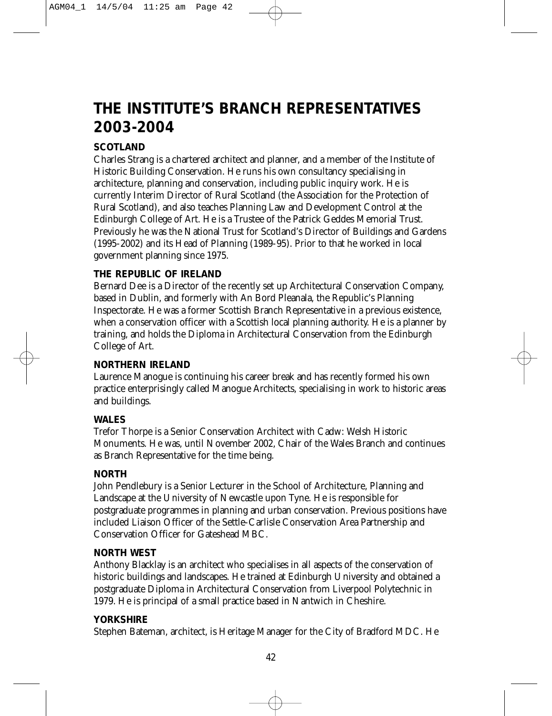### **THE INSTITUTE'S BRANCH REPRESENTATIVES 2003-2004**

#### **SCOTLAND**

Charles Strang is a chartered architect and planner, and a member of the Institute of Historic Building Conservation. He runs his own consultancy specialising in architecture, planning and conservation, including public inquiry work. He is currently Interim Director of Rural Scotland (the Association for the Protection of Rural Scotland), and also teaches Planning Law and Development Control at the Edinburgh College of Art. He is a Trustee of the Patrick Geddes Memorial Trust. Previously he was the National Trust for Scotland's Director of Buildings and Gardens (1995-2002) and its Head of Planning (1989-95). Prior to that he worked in local government planning since 1975.

#### **THE REPUBLIC OF IRELAND**

Bernard Dee is a Director of the recently set up Architectural Conservation Company, based in Dublin, and formerly with An Bord Pleanala, the Republic's Planning Inspectorate. He was a former Scottish Branch Representative in a previous existence, when a conservation officer with a Scottish local planning authority. He is a planner by training, and holds the Diploma in Architectural Conservation from the Edinburgh College of Art.

#### **NORTHERN IRELAND**

Laurence Manogue is continuing his career break and has recently formed his own practice enterprisingly called Manogue Architects, specialising in work to historic areas and buildings.

#### **WALES**

Trefor Thorpe is a Senior Conservation Architect with Cadw: Welsh Historic Monuments. He was, until November 2002, Chair of the Wales Branch and continues as Branch Representative for the time being.

#### **NORTH**

John Pendlebury is a Senior Lecturer in the School of Architecture, Planning and Landscape at the University of Newcastle upon Tyne. He is responsible for postgraduate programmes in planning and urban conservation. Previous positions have included Liaison Officer of the Settle-Carlisle Conservation Area Partnership and Conservation Officer for Gateshead MBC.

#### **NORTH WEST**

Anthony Blacklay is an architect who specialises in all aspects of the conservation of historic buildings and landscapes. He trained at Edinburgh University and obtained a postgraduate Diploma in Architectural Conservation from Liverpool Polytechnic in 1979. He is principal of a small practice based in Nantwich in Cheshire.

#### **YORKSHIRE**

Stephen Bateman, architect, is Heritage Manager for the City of Bradford MDC. He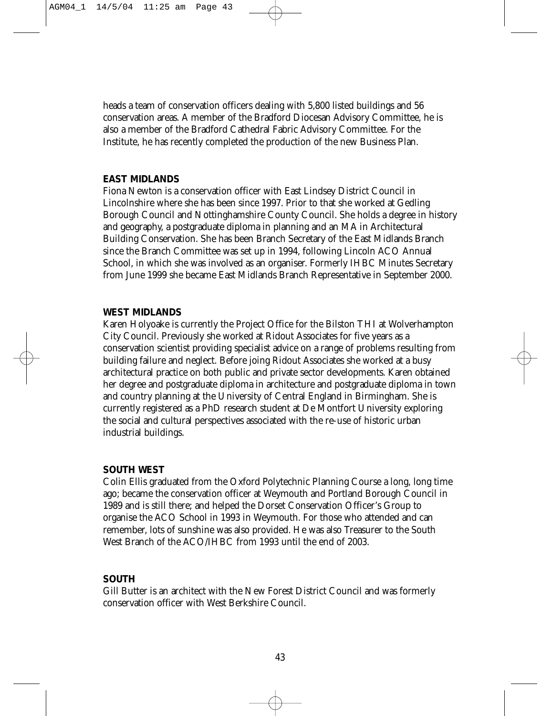heads a team of conservation officers dealing with 5,800 listed buildings and 56 conservation areas. A member of the Bradford Diocesan Advisory Committee, he is also a member of the Bradford Cathedral Fabric Advisory Committee. For the Institute, he has recently completed the production of the new Business Plan.

#### **EAST MIDLANDS**

Fiona Newton is a conservation officer with East Lindsey District Council in Lincolnshire where she has been since 1997. Prior to that she worked at Gedling Borough Council and Nottinghamshire County Council. She holds a degree in history and geography, a postgraduate diploma in planning and an MA in Architectural Building Conservation. She has been Branch Secretary of the East Midlands Branch since the Branch Committee was set up in 1994, following Lincoln ACO Annual School, in which she was involved as an organiser. Formerly IHBC Minutes Secretary from June 1999 she became East Midlands Branch Representative in September 2000.

#### **WEST MIDLANDS**

Karen Holyoake is currently the Project Office for the Bilston THI at Wolverhampton City Council. Previously she worked at Ridout Associates for five years as a conservation scientist providing specialist advice on a range of problems resulting from building failure and neglect. Before joing Ridout Associates she worked at a busy architectural practice on both public and private sector developments. Karen obtained her degree and postgraduate diploma in architecture and postgraduate diploma in town and country planning at the University of Central England in Birmingham. She is currently registered as a PhD research student at De Montfort University exploring the social and cultural perspectives associated with the re-use of historic urban industrial buildings.

#### **SOUTH WEST**

Colin Ellis graduated from the Oxford Polytechnic Planning Course a long, long time ago; became the conservation officer at Weymouth and Portland Borough Council in 1989 and is still there; and helped the Dorset Conservation Officer's Group to organise the ACO School in 1993 in Weymouth. For those who attended and can remember, lots of sunshine was also provided. He was also Treasurer to the South West Branch of the ACO/IHBC from 1993 until the end of 2003.

#### **SOUTH**

Gill Butter is an architect with the New Forest District Council and was formerly conservation officer with West Berkshire Council.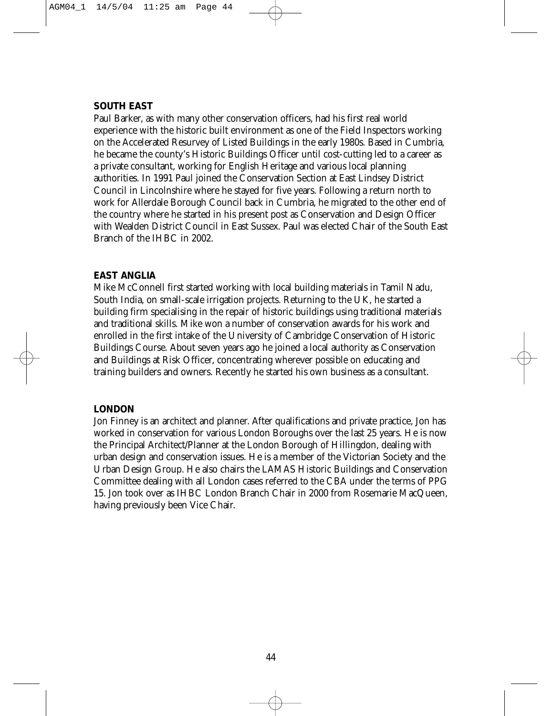#### **SOUTH EAST**

Paul Barker, as with many other conservation officers, had his first real world experience with the historic built environment as one of the Field Inspectors working on the Accelerated Resurvey of Listed Buildings in the early 1980s. Based in Cumbria, he became the county's Historic Buildings Officer until cost-cutting led to a career as a private consultant, working for English Heritage and various local planning authorities. In 1991 Paul joined the Conservation Section at East Lindsey District Council in Lincolnshire where he stayed for five years. Following a return north to work for Allerdale Borough Council back in Cumbria, he migrated to the other end of the country where he started in his present post as Conservation and Design Officer with Wealden District Council in East Sussex. Paul was elected Chair of the South East Branch of the IHBC in 2002.

#### **EAST ANGLIA**

Mike McConnell first started working with local building materials in Tamil Nadu, South India, on small-scale irrigation projects. Returning to the UK, he started a building firm specialising in the repair of historic buildings using traditional materials and traditional skills. Mike won a number of conservation awards for his work and enrolled in the first intake of the University of Cambridge Conservation of Historic Buildings Course. About seven years ago he joined a local authority as Conservation and Buildings at Risk Officer, concentrating wherever possible on educating and training builders and owners. Recently he started his own business as a consultant.

#### **LONDON**

Jon Finney is an architect and planner. After qualifications and private practice, Jon has worked in conservation for various London Boroughs over the last 25 years. He is now the Principal Architect/Planner at the London Borough of Hillingdon, dealing with urban design and conservation issues. He is a member of the Victorian Society and the Urban Design Group. He also chairs the LAMAS Historic Buildings and Conservation Committee dealing with all London cases referred to the CBA under the terms of PPG 15. Jon took over as IHBC London Branch Chair in 2000 from Rosemarie MacQueen, having previously been Vice Chair.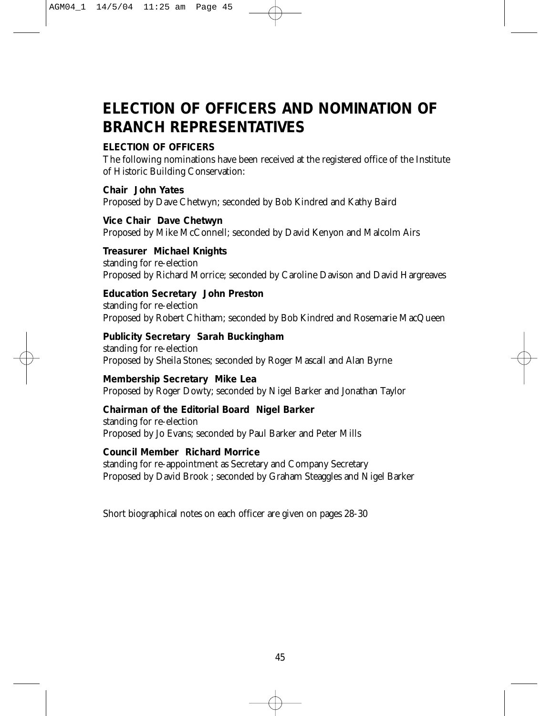### **ELECTION OF OFFICERS AND NOMINATION OF BRANCH REPRESENTATIVES**

#### **ELECTION OF OFFICERS**

The following nominations have been received at the registered office of the Institute of Historic Building Conservation:

**Chair John Yates** Proposed by Dave Chetwyn; seconded by Bob Kindred and Kathy Baird

**Vice Chair Dave Chetwyn** Proposed by Mike McConnell; seconded by David Kenyon and Malcolm Airs

**Treasurer Michael Knights** standing for re-election Proposed by Richard Morrice; seconded by Caroline Davison and David Hargreaves

#### **Education Secretary John Preston**

standing for re-election Proposed by Robert Chitham; seconded by Bob Kindred and Rosemarie MacQueen

**Publicity Secretary Sarah Buckingham** standing for re-election Proposed by Sheila Stones; seconded by Roger Mascall and Alan Byrne

**Membership Secretary Mike Lea** Proposed by Roger Dowty; seconded by Nigel Barker and Jonathan Taylor

**Chairman of the Editorial Board Nigel Barker** standing for re-election Proposed by Jo Evans; seconded by Paul Barker and Peter Mills

#### **Council Member Richard Morrice**

standing for re-appointment as Secretary and Company Secretary Proposed by David Brook ; seconded by Graham Steaggles and Nigel Barker

Short biographical notes on each officer are given on pages 28-30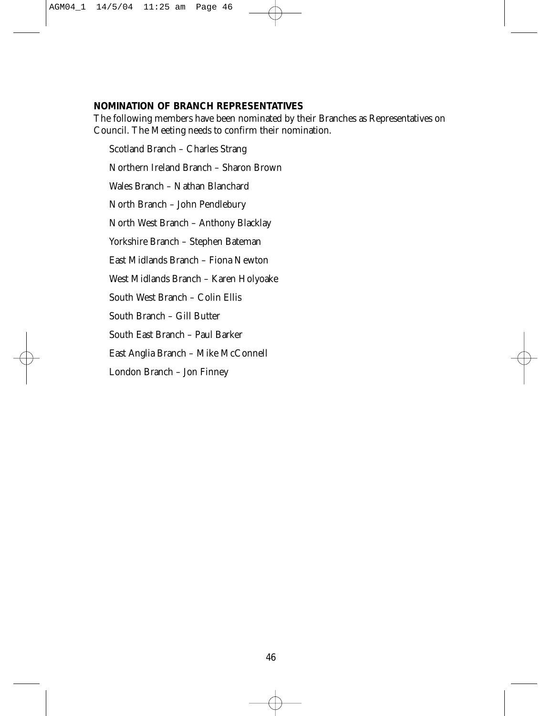#### **NOMINATION OF BRANCH REPRESENTATIVES**

The following members have been nominated by their Branches as Representatives on Council. The Meeting needs to confirm their nomination.

Scotland Branch – Charles Strang Northern Ireland Branch – Sharon Brown Wales Branch – Nathan Blanchard North Branch – John Pendlebury North West Branch – Anthony Blacklay Yorkshire Branch – Stephen Bateman East Midlands Branch – Fiona Newton West Midlands Branch – Karen Holyoake South West Branch – Colin Ellis South Branch – Gill Butter South East Branch – Paul Barker East Anglia Branch – Mike McConnell London Branch – Jon Finney